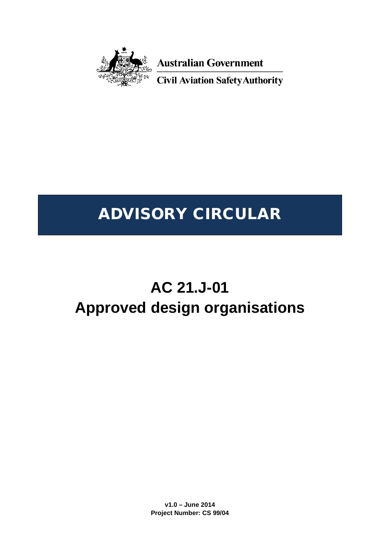

**Australian Government** 

**Civil Aviation Safety Authority** 

# ADVISORY CIRCULAR

# **AC 21.J-01 Approved design organisations**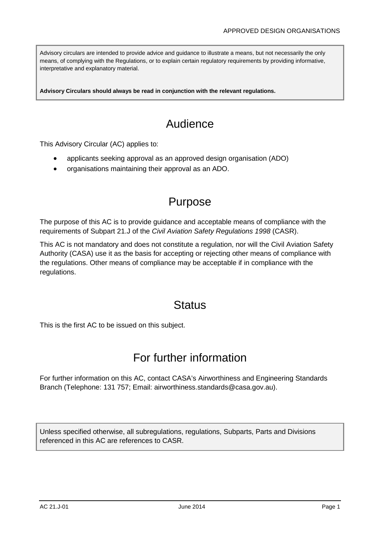Advisory circulars are intended to provide advice and guidance to illustrate a means, but not necessarily the only means, of complying with the Regulations, or to explain certain regulatory requirements by providing informative, interpretative and explanatory material.

**Advisory Circulars should always be read in conjunction with the relevant regulations.**

## Audience

This Advisory Circular (AC) applies to:

- applicants seeking approval as an approved design organisation (ADO)
- organisations maintaining their approval as an ADO.

## Purpose

The purpose of this AC is to provide guidance and acceptable means of compliance with the requirements of Subpart 21.J of the *Civil Aviation Safety Regulations 1998* (CASR).

This AC is not mandatory and does not constitute a regulation, nor will the Civil Aviation Safety Authority (CASA) use it as the basis for accepting or rejecting other means of compliance with the regulations. Other means of compliance may be acceptable if in compliance with the regulations.

## **Status**

This is the first AC to be issued on this subject.

## For further information

For further information on this AC, contact CASA's Airworthiness and Engineering Standards Branch (Telephone: 131 757; Email: [airworthiness.standards@casa.gov.au\)](mailto:airworthiness.standards@casa.gov.au).

Unless specified otherwise, all subregulations, regulations, Subparts, Parts and Divisions referenced in this AC are references to CASR.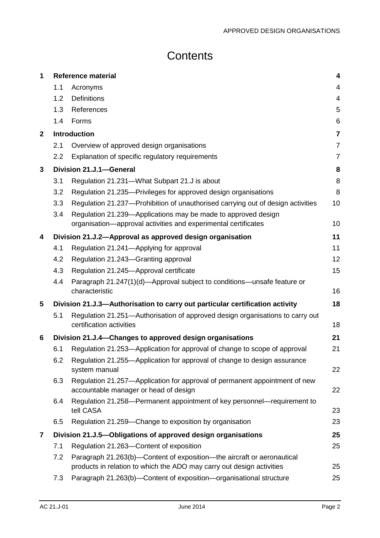# **Contents**

| 1            | <b>Reference material</b>                                                    |                                                                                                                                                 |                |
|--------------|------------------------------------------------------------------------------|-------------------------------------------------------------------------------------------------------------------------------------------------|----------------|
|              | 1.1                                                                          | Acronyms                                                                                                                                        | 4              |
|              | 1.2                                                                          | <b>Definitions</b>                                                                                                                              | $\overline{4}$ |
|              | 1.3                                                                          | References                                                                                                                                      | 5              |
|              | 1.4                                                                          | Forms                                                                                                                                           | $\,6$          |
| $\mathbf{2}$ | <b>Introduction</b>                                                          |                                                                                                                                                 |                |
|              | 2.1                                                                          | Overview of approved design organisations                                                                                                       | $\overline{7}$ |
|              | 2.2                                                                          | Explanation of specific regulatory requirements                                                                                                 | $\overline{7}$ |
| 3            | Division 21.J.1-General                                                      |                                                                                                                                                 |                |
|              | 3.1                                                                          | Regulation 21.231-What Subpart 21.J is about                                                                                                    | 8              |
|              | 3.2                                                                          | Regulation 21.235-Privileges for approved design organisations                                                                                  | 8              |
|              | 3.3                                                                          | Regulation 21.237-Prohibition of unauthorised carrying out of design activities                                                                 | 10             |
|              | 3.4                                                                          | Regulation 21.239-Applications may be made to approved design                                                                                   |                |
|              |                                                                              | organisation-approval activities and experimental certificates                                                                                  | 10             |
| 4            | Division 21.J.2-Approval as approved design organisation                     |                                                                                                                                                 |                |
|              | 4.1                                                                          | Regulation 21.241-Applying for approval                                                                                                         | 11             |
|              | 4.2                                                                          | Regulation 21.243-Granting approval                                                                                                             | 12             |
|              | 4.3                                                                          | Regulation 21.245-Approval certificate                                                                                                          | 15             |
|              | 4.4                                                                          | Paragraph 21.247(1)(d)-Approval subject to conditions-unsafe feature or<br>characteristic                                                       | 16             |
| 5            | Division 21.J.3-Authorisation to carry out particular certification activity |                                                                                                                                                 | 18             |
|              | 5.1                                                                          | Regulation 21.251—Authorisation of approved design organisations to carry out<br>certification activities                                       | 18             |
| 6            | Division 21.J.4-Changes to approved design organisations                     |                                                                                                                                                 | 21             |
|              | 6.1                                                                          | Regulation 21.253-Application for approval of change to scope of approval                                                                       | 21             |
|              | 6.2                                                                          | Regulation 21.255-Application for approval of change to design assurance                                                                        |                |
|              |                                                                              | system manual                                                                                                                                   | 22             |
|              | 6.3                                                                          | Regulation 21.257-Application for approval of permanent appointment of new<br>accountable manager or head of design                             | 22             |
|              | 6.4                                                                          | Regulation 21.258—Permanent appointment of key personnel—requirement to<br>tell CASA                                                            | 23             |
|              | 6.5                                                                          | Regulation 21.259-Change to exposition by organisation                                                                                          | 23             |
| 7            | Division 21.J.5-Obligations of approved design organisations                 |                                                                                                                                                 |                |
|              | 7.1                                                                          | Regulation 21.263-Content of exposition                                                                                                         | 25             |
|              | 7.2                                                                          | Paragraph 21.263(b)—Content of exposition—the aircraft or aeronautical<br>products in relation to which the ADO may carry out design activities | 25             |
|              | 7.3                                                                          | Paragraph 21.263(b)-Content of exposition-organisational structure                                                                              | 25             |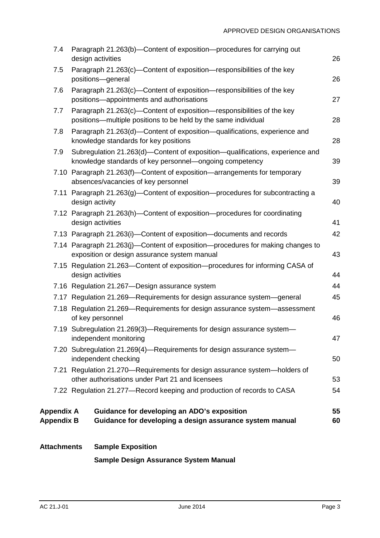| 7.4                                    | Paragraph 21.263(b)-Content of exposition-procedures for carrying out<br>design activities                                              | 26       |
|----------------------------------------|-----------------------------------------------------------------------------------------------------------------------------------------|----------|
| 7.5                                    | Paragraph 21.263(c)—Content of exposition—responsibilities of the key<br>positions-general                                              | 26       |
| 7.6                                    | Paragraph 21.263(c)-Content of exposition-responsibilities of the key<br>positions-appointments and authorisations                      | 27       |
| 7.7                                    | Paragraph 21.263(c)—Content of exposition—responsibilities of the key<br>positions—multiple positions to be held by the same individual | 28       |
| 7.8                                    | Paragraph 21.263(d)-Content of exposition-qualifications, experience and<br>knowledge standards for key positions                       | 28       |
| 7.9                                    | Subregulation 21.263(d)-Content of exposition-qualifications, experience and<br>knowledge standards of key personnel-ongoing competency | 39       |
|                                        | 7.10 Paragraph 21.263(f)—Content of exposition—arrangements for temporary<br>absences/vacancies of key personnel                        | 39       |
|                                        | 7.11 Paragraph 21.263(g)—Content of exposition—procedures for subcontracting a<br>design activity                                       | 40       |
|                                        | 7.12 Paragraph 21.263(h)—Content of exposition—procedures for coordinating<br>design activities                                         | 41       |
|                                        | 7.13 Paragraph 21.263(i)—Content of exposition—documents and records                                                                    | 42       |
|                                        | 7.14 Paragraph 21.263(j)—Content of exposition—procedures for making changes to<br>exposition or design assurance system manual         | 43       |
|                                        | 7.15 Regulation 21.263—Content of exposition—procedures for informing CASA of<br>design activities                                      | 44       |
|                                        | 7.16 Regulation 21.267-Design assurance system                                                                                          | 44       |
|                                        | 7.17 Regulation 21.269—Requirements for design assurance system—general                                                                 | 45       |
|                                        | 7.18 Regulation 21.269-Requirements for design assurance system-assessment<br>of key personnel                                          | 46       |
|                                        | 7.19 Subregulation 21.269(3)-Requirements for design assurance system-<br>independent monitoring                                        | 47       |
|                                        | 7.20 Subregulation 21.269(4)-Requirements for design assurance system-<br>independent checking                                          | 50       |
|                                        | 7.21 Regulation 21.270—Requirements for design assurance system—holders of<br>other authorisations under Part 21 and licensees          | 53       |
|                                        | 7.22 Regulation 21.277—Record keeping and production of records to CASA                                                                 | 54       |
| <b>Appendix A</b><br><b>Appendix B</b> | Guidance for developing an ADO's exposition<br>Guidance for developing a design assurance system manual                                 | 55<br>60 |

## **Attachments Sample Exposition Sample Design Assurance System Manual**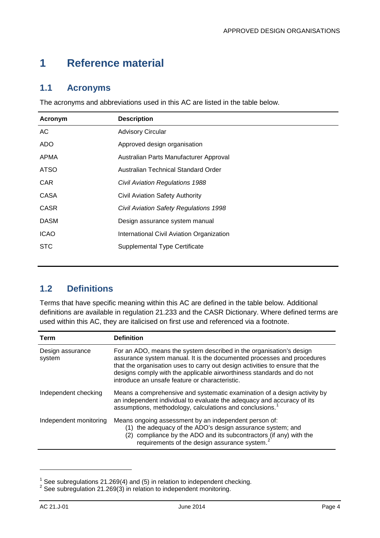## <span id="page-4-0"></span>**1 Reference material**

#### <span id="page-4-1"></span>**1.1 Acronyms**

The acronyms and abbreviations used in this AC are listed in the table below.

| Acronym     | <b>Description</b>                            |
|-------------|-----------------------------------------------|
| AC          | <b>Advisory Circular</b>                      |
| <b>ADO</b>  | Approved design organisation                  |
| APMA        | Australian Parts Manufacturer Approval        |
| <b>ATSO</b> | Australian Technical Standard Order           |
| <b>CAR</b>  | <b>Civil Aviation Regulations 1988</b>        |
| CASA        | Civil Aviation Safety Authority               |
| <b>CASR</b> | <b>Civil Aviation Safety Regulations 1998</b> |
| <b>DASM</b> | Design assurance system manual                |
| <b>ICAO</b> | International Civil Aviation Organization     |
| <b>STC</b>  | Supplemental Type Certificate                 |
|             |                                               |

## <span id="page-4-2"></span>**1.2 Definitions**

Terms that have specific meaning within this AC are defined in the table below. Additional definitions are available in regulation 21.233 and the CASR Dictionary. Where defined terms are used within this AC, they are italicised on first use and referenced via a footnote.

| Term                       | <b>Definition</b>                                                                                                                                                                                                                                                                                                                                        |
|----------------------------|----------------------------------------------------------------------------------------------------------------------------------------------------------------------------------------------------------------------------------------------------------------------------------------------------------------------------------------------------------|
| Design assurance<br>system | For an ADO, means the system described in the organisation's design<br>assurance system manual. It is the documented processes and procedures<br>that the organisation uses to carry out design activities to ensure that the<br>designs comply with the applicable airworthiness standards and do not<br>introduce an unsafe feature or characteristic. |
| Independent checking       | Means a comprehensive and systematic examination of a design activity by<br>an independent individual to evaluate the adequacy and accuracy of its<br>assumptions, methodology, calculations and conclusions. <sup>1</sup>                                                                                                                               |
| Independent monitoring     | Means ongoing assessment by an independent person of:<br>the adequacy of the ADO's design assurance system; and<br>(1)<br>compliance by the ADO and its subcontractors (if any) with the requirements of the design assurance system. <sup>2</sup><br>(2)                                                                                                |

<span id="page-4-3"></span><sup>&</sup>lt;sup>1</sup> See subregulations 21.269(4) and (5) in relation to independent checking.<br><sup>2</sup> See subregulation 21.269(3) in relation to independent monitoring.

<span id="page-4-4"></span>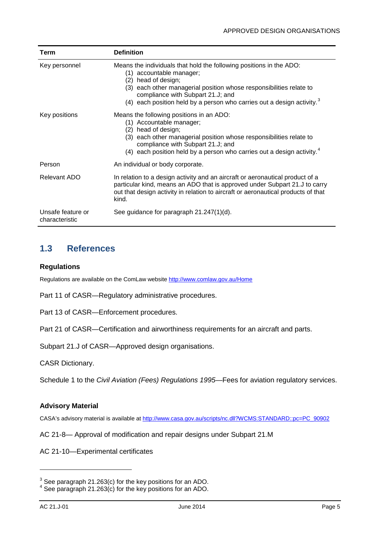| Term                                | <b>Definition</b>                                                                                                                                                                                                                                                                                                           |
|-------------------------------------|-----------------------------------------------------------------------------------------------------------------------------------------------------------------------------------------------------------------------------------------------------------------------------------------------------------------------------|
| Key personnel                       | Means the individuals that hold the following positions in the ADO:<br>(1) accountable manager;<br>head of design;<br>(2)<br>(3) each other managerial position whose responsibilities relate to<br>compliance with Subpart 21.J; and<br>(4) each position held by a person who carries out a design activity. <sup>3</sup> |
| Key positions                       | Means the following positions in an ADO:<br>(1) Accountable manager;<br>(2) head of design;<br>(3) each other managerial position whose responsibilities relate to<br>compliance with Subpart 21.J; and<br>(4) each position held by a person who carries out a design activity. $4$                                        |
| Person                              | An individual or body corporate.                                                                                                                                                                                                                                                                                            |
| Relevant ADO                        | In relation to a design activity and an aircraft or aeronautical product of a<br>particular kind, means an ADO that is approved under Subpart 21.J to carry<br>out that design activity in relation to aircraft or aeronautical products of that<br>kind.                                                                   |
| Unsafe feature or<br>characteristic | See guidance for paragraph 21.247(1)(d).                                                                                                                                                                                                                                                                                    |

### <span id="page-5-0"></span>**1.3 References**

#### **Regulations**

Regulations are available on the ComLaw websit[e http://www.comlaw.gov.au/Home](http://www.comlaw.gov.au/Home)

Part 11 of CASR—Regulatory administrative procedures.

Part 13 of CASR—Enforcement procedures.

Part 21 of CASR—Certification and airworthiness requirements for an aircraft and parts.

Subpart 21.J of CASR—Approved design organisations.

CASR Dictionary.

Schedule 1 to the *Civil Aviation (Fees) Regulations 1995*—Fees for aviation regulatory services.

#### **Advisory Material**

CASA's advisory material is available a[t http://www.casa.gov.au/scripts/nc.dll?WCMS:STANDARD::pc=PC\\_90902](http://www.casa.gov.au/scripts/nc.dll?WCMS:STANDARD::pc=PC_90902)

AC 21-8— Approval of modification and repair designs under Subpart 21.M

AC 21-10—Experimental certificates

<span id="page-5-1"></span><sup>&</sup>lt;sup>3</sup> See paragraph 21.263(c) for the key positions for an ADO.<br><sup>4</sup> See paragraph 21.263(c) for the key positions for an ADO.

<span id="page-5-2"></span>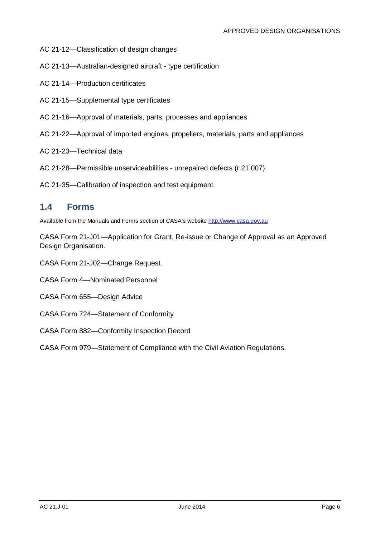- AC 21-12—Classification of design changes
- AC 21-13—Australian-designed aircraft type certification
- AC 21-14—Production certificates
- AC 21-15—Supplemental type certificates
- AC 21-16—Approval of materials, parts, processes and appliances
- AC 21-22—Approval of imported engines, propellers, materials, parts and appliances
- AC 21-23—Technical data
- AC 21-28—Permissible unserviceabilities unrepaired defects (r.21.007)
- AC 21-35—Calibration of inspection and test equipment.

#### <span id="page-6-0"></span>**1.4 Forms**

Available from the Manuals and Forms section of CASA's websit[e http://www.casa.gov.au](http://www.casa.gov.au/)

CASA Form 21-J01—Application for Grant, Re-issue or Change of Approval as an Approved Design Organisation.

- CASA Form 21-J02—Change Request.
- CASA Form 4—Nominated Personnel
- CASA Form 655—Design Advice
- CASA Form 724—Statement of Conformity
- CASA Form 882—Conformity Inspection Record

CASA Form 979—Statement of Compliance with the Civil Aviation Regulations.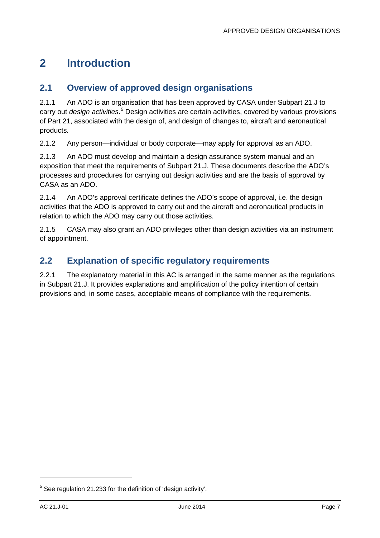## <span id="page-7-0"></span>**2 Introduction**

## <span id="page-7-1"></span>**2.1 Overview of approved design organisations**

2.1.1 An ADO is an organisation that has been approved by CASA under Subpart 21.J to carry out *design activities*.<sup>[5](#page-7-3)</sup> Design activities are certain activities, covered by various provisions of Part 21, associated with the design of, and design of changes to, aircraft and aeronautical products.

2.1.2 Any person—individual or body corporate—may apply for approval as an ADO.

2.1.3 An ADO must develop and maintain a design assurance system manual and an exposition that meet the requirements of Subpart 21.J. These documents describe the ADO's processes and procedures for carrying out design activities and are the basis of approval by CASA as an ADO.

2.1.4 An ADO's approval certificate defines the ADO's scope of approval, i.e. the design activities that the ADO is approved to carry out and the aircraft and aeronautical products in relation to which the ADO may carry out those activities.

2.1.5 CASA may also grant an ADO privileges other than design activities via an instrument of appointment.

## <span id="page-7-2"></span>**2.2 Explanation of specific regulatory requirements**

2.2.1 The explanatory material in this AC is arranged in the same manner as the regulations in Subpart 21.J. It provides explanations and amplification of the policy intention of certain provisions and, in some cases, acceptable means of compliance with the requirements.

<span id="page-7-3"></span> $5$  See regulation 21.233 for the definition of 'design activity'.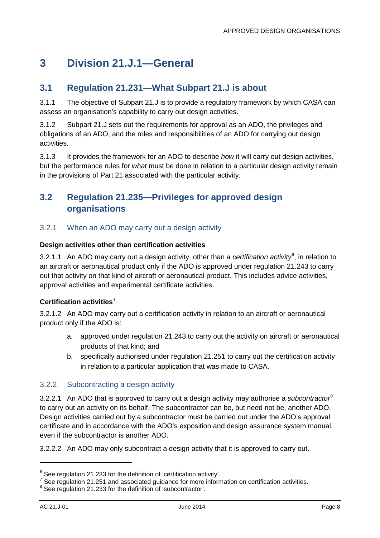## <span id="page-8-0"></span>**3 Division 21.J.1—General**

## <span id="page-8-1"></span>**3.1 Regulation 21.231—What Subpart 21.J is about**

3.1.1 The objective of Subpart 21.J is to provide a regulatory framework by which CASA can assess an organisation's capability to carry out design activities.

3.1.2 Subpart 21.J sets out the requirements for approval as an ADO, the privileges and obligations of an ADO, and the roles and responsibilities of an ADO for carrying out design activities.

3.1.3 It provides the framework for an ADO to describe *how* it will carry out design activities, but the performance rules for *what* must be done in relation to a particular design activity remain in the provisions of Part 21 associated with the particular activity.

## <span id="page-8-2"></span>**3.2 Regulation 21.235—Privileges for approved design organisations**

#### 3.2.1 When an ADO may carry out a design activity

#### **Design activities other than certification activities**

3.2.1.1 An ADO may carry out a design activity, other than a *certification activity*[6](#page-8-3) , in relation to an aircraft or aeronautical product only if the ADO is approved under regulation 21.243 to carry out that activity on that kind of aircraft or aeronautical product. This includes advice activities, approval activities and experimental certificate activities.

#### **Certification activities[7](#page-8-4)**

3.2.1.2 An ADO may carry out a certification activity in relation to an aircraft or aeronautical product only if the ADO is:

- a. approved under regulation 21.243 to carry out the activity on aircraft or aeronautical products of that kind; and
- b. specifically authorised under regulation 21.251 to carry out the certification activity in relation to a particular application that was made to CASA.

#### 3.2.2 Subcontracting a design activity

3.2.2.1 An ADO that is approved to carry out a design activity may authorise a *subcontractor*[8](#page-8-5) to carry out an activity on its behalf. The subcontractor can be, but need not be, another ADO. Design activities carried out by a subcontractor must be carried out under the ADO's approval certificate and in accordance with the ADO's exposition and design assurance system manual, even if the subcontractor is another ADO.

3.2.2.2 An ADO may only subcontract a design activity that it is approved to carry out.

<span id="page-8-3"></span> $\frac{6}{7}$  See regulation 21.233 for the definition of 'certification activity'.<br><sup>7</sup> See regulation 21.251 and associated guidance for more information on certification activities.

<span id="page-8-5"></span><span id="page-8-4"></span><sup>&</sup>lt;sup>8</sup> See regulation 21.233 for the definition of 'subcontractor'.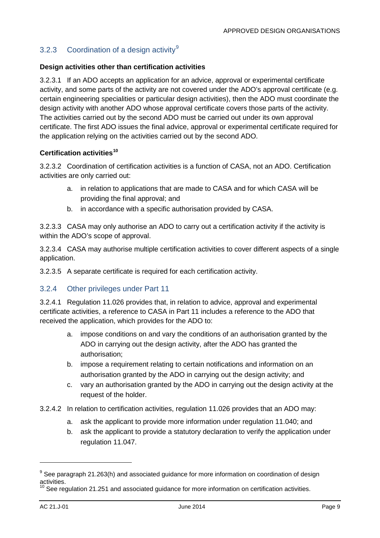## 3.2.3 Coordination of a design activity<sup>[9](#page-9-0)</sup>

#### **Design activities other than certification activities**

3.2.3.1 If an ADO accepts an application for an advice, approval or experimental certificate activity, and some parts of the activity are not covered under the ADO's approval certificate (e.g. certain engineering specialities or particular design activities), then the ADO must coordinate the design activity with another ADO whose approval certificate covers those parts of the activity. The activities carried out by the second ADO must be carried out under its own approval certificate. The first ADO issues the final advice, approval or experimental certificate required for the application relying on the activities carried out by the second ADO.

#### **Certification activities[10](#page-9-1)**

3.2.3.2 Coordination of certification activities is a function of CASA, not an ADO. Certification activities are only carried out:

- a. in relation to applications that are made to CASA and for which CASA will be providing the final approval; and
- b. in accordance with a specific authorisation provided by CASA.

3.2.3.3 CASA may only authorise an ADO to carry out a certification activity if the activity is within the ADO's scope of approval.

3.2.3.4 CASA may authorise multiple certification activities to cover different aspects of a single application.

3.2.3.5 A separate certificate is required for each certification activity.

#### 3.2.4 Other privileges under Part 11

3.2.4.1 Regulation 11.026 provides that, in relation to advice, approval and experimental certificate activities, a reference to CASA in Part 11 includes a reference to the ADO that received the application, which provides for the ADO to:

- a. impose conditions on and vary the conditions of an authorisation granted by the ADO in carrying out the design activity, after the ADO has granted the authorisation;
- b. impose a requirement relating to certain notifications and information on an authorisation granted by the ADO in carrying out the design activity; and
- c. vary an authorisation granted by the ADO in carrying out the design activity at the request of the holder.
- 3.2.4.2 In relation to certification activities, regulation 11.026 provides that an ADO may:
	- a. ask the applicant to provide more information under regulation 11.040; and
	- b. ask the applicant to provide a statutory declaration to verify the application under regulation 11.047.

<span id="page-9-0"></span> $9$  See paragraph 21.263(h) and associated guidance for more information on coordination of design activities.

<span id="page-9-1"></span> $10$  See regulation 21.251 and associated guidance for more information on certification activities.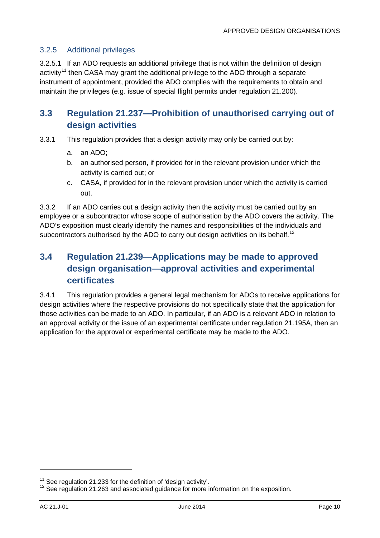#### 3.2.5 Additional privileges

3.2.5.1 If an ADO requests an additional privilege that is not within the definition of design activity<sup>[11](#page-10-2)</sup> then CASA may grant the additional privilege to the ADO through a separate instrument of appointment, provided the ADO complies with the requirements to obtain and maintain the privileges (e.g. issue of special flight permits under regulation 21.200).

## <span id="page-10-0"></span>**3.3 Regulation 21.237—Prohibition of unauthorised carrying out of design activities**

3.3.1 This regulation provides that a design activity may only be carried out by:

- a. an ADO;
- b. an authorised person, if provided for in the relevant provision under which the activity is carried out; or
- c. CASA, if provided for in the relevant provision under which the activity is carried out.

3.3.2 If an ADO carries out a design activity then the activity must be carried out by an employee or a subcontractor whose scope of authorisation by the ADO covers the activity. The ADO's exposition must clearly identify the names and responsibilities of the individuals and subcontractors authorised by the ADO to carry out design activities on its behalf.<sup>[12](#page-10-3)</sup>

## <span id="page-10-1"></span>**3.4 Regulation 21.239—Applications may be made to approved design organisation—approval activities and experimental certificates**

3.4.1 This regulation provides a general legal mechanism for ADOs to receive applications for design activities where the respective provisions do not specifically state that the application for those activities can be made to an ADO. In particular, if an ADO is a relevant ADO in relation to an approval activity or the issue of an experimental certificate under regulation 21.195A, then an application for the approval or experimental certificate may be made to the ADO.

<span id="page-10-3"></span>

<span id="page-10-2"></span><sup>&</sup>lt;sup>11</sup> See regulation 21.233 for the definition of 'design activity'.<br><sup>12</sup> See regulation 21.263 and associated guidance for more information on the exposition.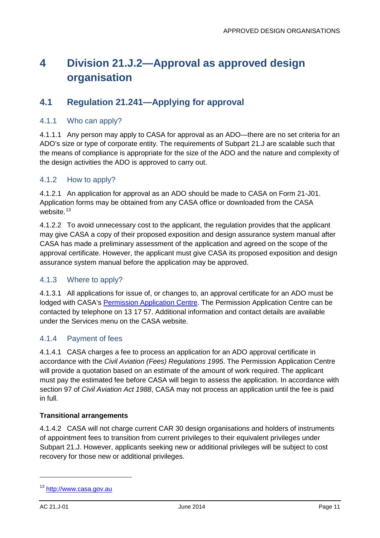# <span id="page-11-0"></span>**4 Division 21.J.2—Approval as approved design organisation**

## <span id="page-11-1"></span>**4.1 Regulation 21.241—Applying for approval**

#### 4.1.1 Who can apply?

4.1.1.1 Any person may apply to CASA for approval as an ADO—there are no set criteria for an ADO's size or type of corporate entity. The requirements of Subpart 21.J are scalable such that the means of compliance is appropriate for the size of the ADO and the nature and complexity of the design activities the ADO is approved to carry out.

#### 4.1.2 How to apply?

4.1.2.1 An application for approval as an ADO should be made to CASA on Form 21-J01. Application forms may be obtained from any CASA office or downloaded from the CASA website.<sup>[13](#page-11-2)</sup>

4.1.2.2 To avoid unnecessary cost to the applicant, the regulation provides that the applicant may give CASA a copy of their proposed exposition and design assurance system manual after CASA has made a preliminary assessment of the application and agreed on the scope of the approval certificate. However, the applicant must give CASA its proposed exposition and design assurance system manual before the application may be approved.

#### 4.1.3 Where to apply?

4.1.3.1 All applications for issue of, or changes to, an approval certificate for an ADO must be lodged with CASA's [Permission Application Centre.](http://www.casa.gov.au/scripts/nc.dll?WCMS:STANDARD::pc=PC_91517) The Permission Application Centre can be contacted by telephone on 13 17 57. Additional information and contact details are available under the Services menu on the CASA website.

#### 4.1.4 Payment of fees

4.1.4.1 CASA charges a fee to process an application for an ADO approval certificate in accordance with the *Civil Aviation (Fees) Regulations 1995*. The Permission Application Centre will provide a quotation based on an estimate of the amount of work required. The applicant must pay the estimated fee before CASA will begin to assess the application. In accordance with section 97 of *Civil Aviation Act 1988*, CASA may not process an application until the fee is paid in full.

#### **Transitional arrangements**

4.1.4.2 CASA will not charge current CAR 30 design organisations and holders of instruments of appointment fees to transition from current privileges to their equivalent privileges under Subpart 21.J. However, applicants seeking new or additional privileges will be subject to cost recovery for those new or additional privileges.

<span id="page-11-2"></span><sup>&</sup>lt;sup>13</sup> [http://www.casa.gov.au](http://www.casa.gov.au/)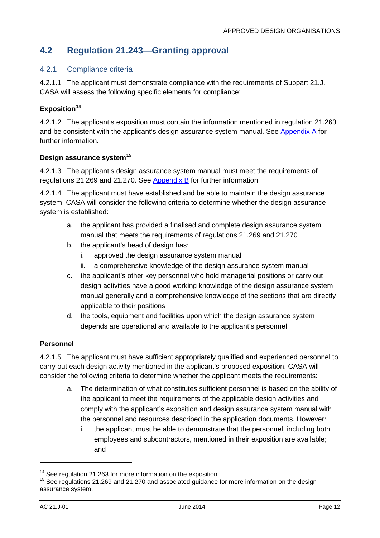## <span id="page-12-0"></span>**4.2 Regulation 21.243—Granting approval**

#### 4.2.1 Compliance criteria

4.2.1.1 The applicant must demonstrate compliance with the requirements of Subpart 21.J. CASA will assess the following specific elements for compliance:

#### **Exposition[14](#page-12-1)**

4.2.1.2 The applicant's exposition must contain the information mentioned in regulation 21.263 and be consistent with the applicant's design assurance system manual. See [Appendix A](#page-55-1) for further information.

#### **Design assurance system[15](#page-12-2)**

4.2.1.3 The applicant's design assurance system manual must meet the requirements of regulations 21.269 and 21.270. See [Appendix B](#page-60-1) for further information.

4.2.1.4 The applicant must have established and be able to maintain the design assurance system. CASA will consider the following criteria to determine whether the design assurance system is established:

- a. the applicant has provided a finalised and complete design assurance system manual that meets the requirements of regulations 21.269 and 21.270
- b. the applicant's head of design has:
	- i. approved the design assurance system manual
	- ii. a comprehensive knowledge of the design assurance system manual
- c. the applicant's other key personnel who hold managerial positions or carry out design activities have a good working knowledge of the design assurance system manual generally and a comprehensive knowledge of the sections that are directly applicable to their positions
- d. the tools, equipment and facilities upon which the design assurance system depends are operational and available to the applicant's personnel.

#### **Personnel**

4.2.1.5 The applicant must have sufficient appropriately qualified and experienced personnel to carry out each design activity mentioned in the applicant's proposed exposition. CASA will consider the following criteria to determine whether the applicant meets the requirements:

- a. The determination of what constitutes sufficient personnel is based on the ability of the applicant to meet the requirements of the applicable design activities and comply with the applicant's exposition and design assurance system manual with the personnel and resources described in the application documents. However:
	- i. the applicant must be able to demonstrate that the personnel, including both employees and subcontractors, mentioned in their exposition are available; and

<span id="page-12-2"></span><span id="page-12-1"></span><sup>&</sup>lt;sup>14</sup> See regulation 21.263 for more information on the exposition.<br><sup>15</sup> See regulations 21.269 and 21.270 and associated guidance for more information on the design assurance system.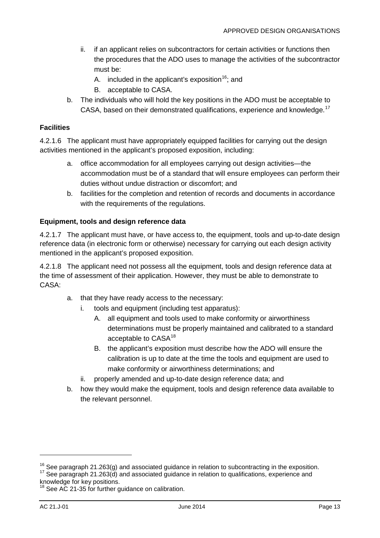- ii. if an applicant relies on subcontractors for certain activities or functions then the procedures that the ADO uses to manage the activities of the subcontractor must be:
	- A. included in the applicant's exposition<sup>[16](#page-13-0)</sup>: and
	- B. acceptable to CASA.
- b. The individuals who will hold the key positions in the ADO must be acceptable to CASA, based on their demonstrated qualifications, experience and knowledge.<sup>[17](#page-13-1)</sup>

#### **Facilities**

4.2.1.6 The applicant must have appropriately equipped facilities for carrying out the design activities mentioned in the applicant's proposed exposition, including:

- a. office accommodation for all employees carrying out design activities—the accommodation must be of a standard that will ensure employees can perform their duties without undue distraction or discomfort; and
- b. facilities for the completion and retention of records and documents in accordance with the requirements of the regulations.

#### **Equipment, tools and design reference data**

4.2.1.7 The applicant must have, or have access to, the equipment, tools and up-to-date design reference data (in electronic form or otherwise) necessary for carrying out each design activity mentioned in the applicant's proposed exposition.

4.2.1.8 The applicant need not possess all the equipment, tools and design reference data at the time of assessment of their application. However, they must be able to demonstrate to CASA:

- a. that they have ready access to the necessary:
	- tools and equipment (including test apparatus):
		- A. all equipment and tools used to make conformity or airworthiness determinations must be properly maintained and calibrated to a standard acceptable to CASA<sup>[18](#page-13-2)</sup>
		- B. the applicant's exposition must describe how the ADO will ensure the calibration is up to date at the time the tools and equipment are used to make conformity or airworthiness determinations; and
	- ii. properly amended and up-to-date design reference data; and
- b. how they would make the equipment, tools and design reference data available to the relevant personnel.

<span id="page-13-1"></span>knowledge for key positions.

-

<span id="page-13-0"></span><sup>&</sup>lt;sup>16</sup> See paragraph 21.263(g) and associated guidance in relation to subcontracting in the exposition.<br><sup>17</sup> See paragraph 21.263(d) and associated guidance in relation to qualifications, experience and

<span id="page-13-2"></span> $18$  See AC 21-35 for further quidance on calibration.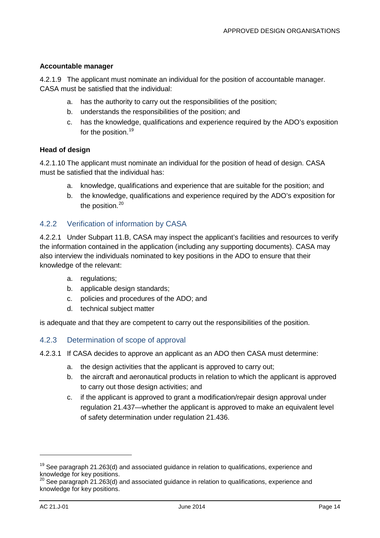#### **Accountable manager**

4.2.1.9 The applicant must nominate an individual for the position of accountable manager. CASA must be satisfied that the individual:

- a. has the authority to carry out the responsibilities of the position;
- b. understands the responsibilities of the position; and
- c. has the knowledge, qualifications and experience required by the ADO's exposition for the position. [19](#page-14-0)

#### **Head of design**

4.2.1.10 The applicant must nominate an individual for the position of head of design. CASA must be satisfied that the individual has:

- a. knowledge, qualifications and experience that are suitable for the position; and
- b. the knowledge, qualifications and experience required by the ADO's exposition for the position. [20](#page-14-1)

#### 4.2.2 Verification of information by CASA

4.2.2.1 Under Subpart 11.B, CASA may inspect the applicant's facilities and resources to verify the information contained in the application (including any supporting documents). CASA may also interview the individuals nominated to key positions in the ADO to ensure that their knowledge of the relevant:

- a. regulations;
- b. applicable design standards;
- c. policies and procedures of the ADO; and
- d. technical subject matter

is adequate and that they are competent to carry out the responsibilities of the position.

#### 4.2.3 Determination of scope of approval

- 4.2.3.1 If CASA decides to approve an applicant as an ADO then CASA must determine:
	- a. the design activities that the applicant is approved to carry out;
	- b. the aircraft and aeronautical products in relation to which the applicant is approved to carry out those design activities; and
	- c. if the applicant is approved to grant a modification/repair design approval under regulation 21.437—whether the applicant is approved to make an equivalent level of safety determination under regulation 21.436.

-

<span id="page-14-0"></span> $19$  See paragraph 21.263(d) and associated guidance in relation to qualifications, experience and knowledge for key positions.

<span id="page-14-1"></span>See paragraph 21.263(d) and associated guidance in relation to qualifications, experience and knowledge for key positions.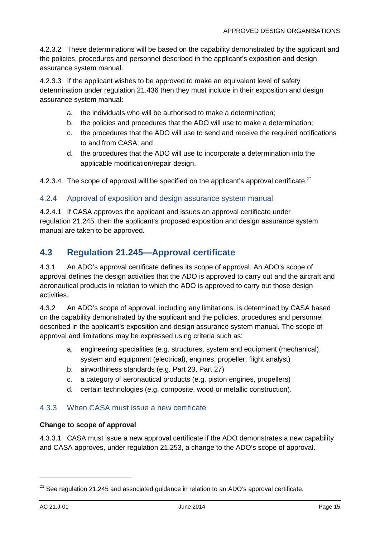4.2.3.2 These determinations will be based on the capability demonstrated by the applicant and the policies, procedures and personnel described in the applicant's exposition and design assurance system manual.

4.2.3.3 If the applicant wishes to be approved to make an equivalent level of safety determination under regulation 21.436 then they must include in their exposition and design assurance system manual:

- a. the individuals who will be authorised to make a determination;
- b. the policies and procedures that the ADO will use to make a determination;
- c. the procedures that the ADO will use to send and receive the required notifications to and from CASA; and
- d. the procedures that the ADO will use to incorporate a determination into the applicable modification/repair design.

4.2.3.4 The scope of approval will be specified on the applicant's approval certificate.<sup>[21](#page-15-1)</sup>

#### 4.2.4 Approval of exposition and design assurance system manual

4.2.4.1 If CASA approves the applicant and issues an approval certificate under regulation 21.245, then the applicant's proposed exposition and design assurance system manual are taken to be approved.

### <span id="page-15-0"></span>**4.3 Regulation 21.245—Approval certificate**

4.3.1 An ADO's approval certificate defines its scope of approval. An ADO's scope of approval defines the design activities that the ADO is approved to carry out and the aircraft and aeronautical products in relation to which the ADO is approved to carry out those design activities.

4.3.2 An ADO's scope of approval, including any limitations, is determined by CASA based on the capability demonstrated by the applicant and the policies, procedures and personnel described in the applicant's exposition and design assurance system manual. The scope of approval and limitations may be expressed using criteria such as:

- a. engineering specialities (e.g. structures, system and equipment (mechanical), system and equipment (electrical), engines, propeller, flight analyst)
- b. airworthiness standards (e.g. Part 23, Part 27)
- c. a category of aeronautical products (e.g. piston engines, propellers)
- d. certain technologies (e.g. composite, wood or metallic construction).

#### 4.3.3 When CASA must issue a new certificate

#### **Change to scope of approval**

4.3.3.1 CASA must issue a new approval certificate if the ADO demonstrates a new capability and CASA approves, under regulation 21.253, a change to the ADO's scope of approval.

<span id="page-15-1"></span> $21$  See regulation 21.245 and associated guidance in relation to an ADO's approval certificate.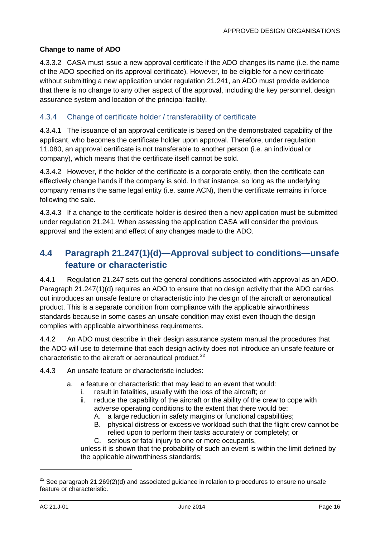#### **Change to name of ADO**

4.3.3.2 CASA must issue a new approval certificate if the ADO changes its name (i.e. the name of the ADO specified on its approval certificate). However, to be eligible for a new certificate without submitting a new application under regulation 21.241, an ADO must provide evidence that there is no change to any other aspect of the approval, including the key personnel, design assurance system and location of the principal facility.

#### 4.3.4 Change of certificate holder / transferability of certificate

4.3.4.1 The issuance of an approval certificate is based on the demonstrated capability of the applicant, who becomes the certificate holder upon approval. Therefore, under regulation 11.080, an approval certificate is not transferable to another person (i.e. an individual or company), which means that the certificate itself cannot be sold.

4.3.4.2 However, if the holder of the certificate is a corporate entity, then the certificate can effectively change hands if the company is sold. In that instance, so long as the underlying company remains the same legal entity (i.e. same ACN), then the certificate remains in force following the sale.

4.3.4.3 If a change to the certificate holder is desired then a new application must be submitted under regulation 21.241. When assessing the application CASA will consider the previous approval and the extent and effect of any changes made to the ADO.

## <span id="page-16-0"></span>**4.4 Paragraph 21.247(1)(d)—Approval subject to conditions—unsafe feature or characteristic**

4.4.1 Regulation 21.247 sets out the general conditions associated with approval as an ADO. Paragraph 21.247(1)(d) requires an ADO to ensure that no design activity that the ADO carries out introduces an unsafe feature or characteristic into the design of the aircraft or aeronautical product. This is a separate condition from compliance with the applicable airworthiness standards because in some cases an unsafe condition may exist even though the design complies with applicable airworthiness requirements.

4.4.2 An ADO must describe in their design assurance system manual the procedures that the ADO will use to determine that each design activity does not introduce an unsafe feature or characteristic to the aircraft or aeronautical product. $^{22}$  $^{22}$  $^{22}$ 

4.4.3 An unsafe feature or characteristic includes:

- a. a feature or characteristic that may lead to an event that would:
	- i. result in fatalities, usually with the loss of the aircraft; or
	- ii. reduce the capability of the aircraft or the ability of the crew to cope with adverse operating conditions to the extent that there would be:
		- A. a large reduction in safety margins or functional capabilities;
		- B. physical distress or excessive workload such that the flight crew cannot be relied upon to perform their tasks accurately or completely; or
		- C. serious or fatal injury to one or more occupants,

unless it is shown that the probability of such an event is within the limit defined by the applicable airworthiness standards;

<span id="page-16-1"></span> $22$  See paragraph 21.269(2)(d) and associated guidance in relation to procedures to ensure no unsafe feature or characteristic.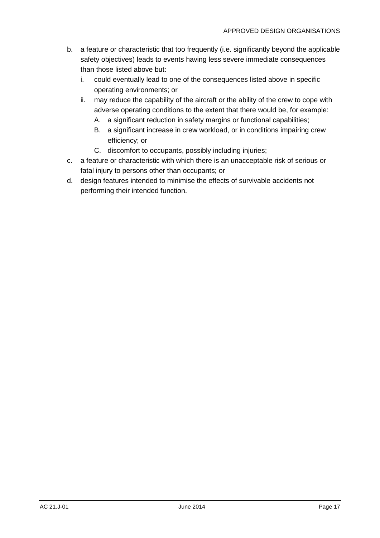- b. a feature or characteristic that too frequently (i.e. significantly beyond the applicable safety objectives) leads to events having less severe immediate consequences than those listed above but:
	- i. could eventually lead to one of the consequences listed above in specific operating environments; or
	- ii. may reduce the capability of the aircraft or the ability of the crew to cope with adverse operating conditions to the extent that there would be, for example:
		- A. a significant reduction in safety margins or functional capabilities;
		- B. a significant increase in crew workload, or in conditions impairing crew efficiency; or
		- C. discomfort to occupants, possibly including injuries;
- c. a feature or characteristic with which there is an unacceptable risk of serious or fatal injury to persons other than occupants; or
- d. design features intended to minimise the effects of survivable accidents not performing their intended function.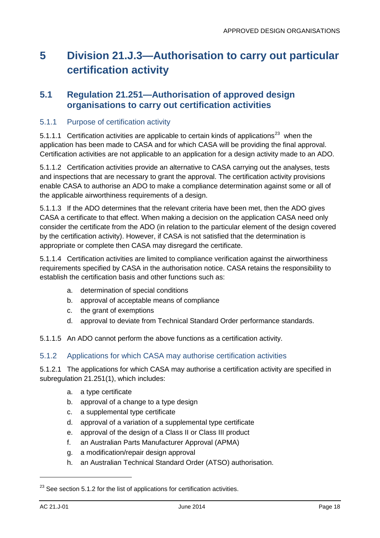## <span id="page-18-0"></span>**5 Division 21.J.3—Authorisation to carry out particular certification activity**

### <span id="page-18-1"></span>**5.1 Regulation 21.251—Authorisation of approved design organisations to carry out certification activities**

#### 5.1.1 Purpose of certification activity

5.1.1.1 Certification activities are applicable to certain kinds of applications<sup>[23](#page-18-3)</sup> when the application has been made to CASA and for which CASA will be providing the final approval. Certification activities are not applicable to an application for a design activity made to an ADO.

5.1.1.2 Certification activities provide an alternative to CASA carrying out the analyses, tests and inspections that are necessary to grant the approval. The certification activity provisions enable CASA to authorise an ADO to make a compliance determination against some or all of the applicable airworthiness requirements of a design.

5.1.1.3 If the ADO determines that the relevant criteria have been met, then the ADO gives CASA a certificate to that effect. When making a decision on the application CASA need only consider the certificate from the ADO (in relation to the particular element of the design covered by the certification activity). However, if CASA is not satisfied that the determination is appropriate or complete then CASA may disregard the certificate.

5.1.1.4 Certification activities are limited to compliance verification against the airworthiness requirements specified by CASA in the authorisation notice. CASA retains the responsibility to establish the certification basis and other functions such as:

- a. determination of special conditions
- b. approval of acceptable means of compliance
- c. the grant of exemptions
- d. approval to deviate from Technical Standard Order performance standards.

5.1.1.5 An ADO cannot perform the above functions as a certification activity.

#### <span id="page-18-2"></span>5.1.2 Applications for which CASA may authorise certification activities

5.1.2.1 The applications for which CASA may authorise a certification activity are specified in subregulation 21.251(1), which includes:

- a. a type certificate
- b. approval of a change to a type design
- c. a supplemental type certificate
- d. approval of a variation of a supplemental type certificate
- e. approval of the design of a Class II or Class III product
- f. an Australian Parts Manufacturer Approval (APMA)
- g. a modification/repair design approval
- h. an Australian Technical Standard Order (ATSO) authorisation.

<span id="page-18-3"></span> $23$  See section [5.1.2](#page-18-2) for the list of applications for certification activities.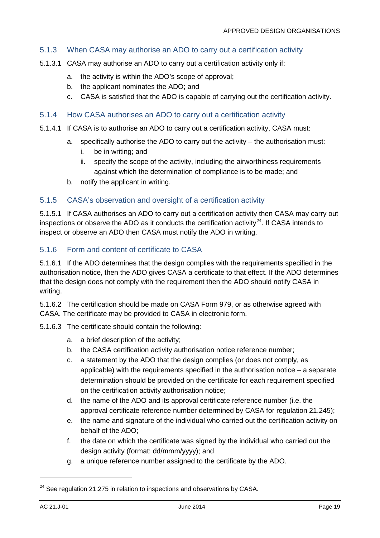#### 5.1.3 When CASA may authorise an ADO to carry out a certification activity

- 5.1.3.1 CASA may authorise an ADO to carry out a certification activity only if:
	- a. the activity is within the ADO's scope of approval;
	- b. the applicant nominates the ADO; and
	- c. CASA is satisfied that the ADO is capable of carrying out the certification activity.

#### 5.1.4 How CASA authorises an ADO to carry out a certification activity

- 5.1.4.1 If CASA is to authorise an ADO to carry out a certification activity, CASA must:
	- a. specifically authorise the ADO to carry out the activity the authorisation must:
		- i. be in writing; and
		- ii. specify the scope of the activity, including the airworthiness requirements against which the determination of compliance is to be made; and
	- b. notify the applicant in writing.

#### 5.1.5 CASA's observation and oversight of a certification activity

5.1.5.1 If CASA authorises an ADO to carry out a certification activity then CASA may carry out inspections or observe the ADO as it conducts the certification activity<sup>24</sup>. If CASA intends to inspect or observe an ADO then CASA must notify the ADO in writing.

#### 5.1.6 Form and content of certificate to CASA

5.1.6.1 If the ADO determines that the design complies with the requirements specified in the authorisation notice, then the ADO gives CASA a certificate to that effect. If the ADO determines that the design does not comply with the requirement then the ADO should notify CASA in writing.

5.1.6.2 The certification should be made on CASA Form 979, or as otherwise agreed with CASA. The certificate may be provided to CASA in electronic form.

5.1.6.3 The certificate should contain the following:

- a. a brief description of the activity;
- b. the CASA certification activity authorisation notice reference number;
- c. a statement by the ADO that the design complies (or does not comply, as applicable) with the requirements specified in the authorisation notice – a separate determination should be provided on the certificate for each requirement specified on the certification activity authorisation notice;
- d. the name of the ADO and its approval certificate reference number (i.e. the approval certificate reference number determined by CASA for regulation 21.245);
- e. the name and signature of the individual who carried out the certification activity on behalf of the ADO;
- f. the date on which the certificate was signed by the individual who carried out the design activity (format: dd/mmm/yyyy); and
- g. a unique reference number assigned to the certificate by the ADO.

<span id="page-19-0"></span> $24$  See regulation 21.275 in relation to inspections and observations by CASA.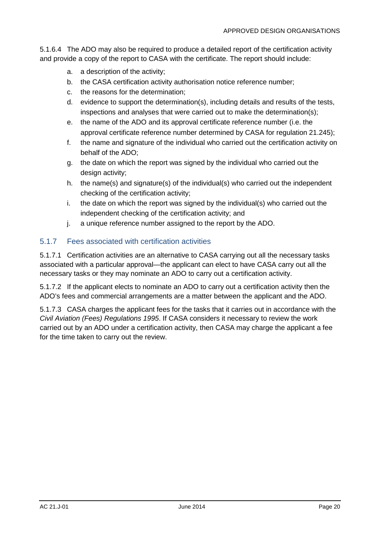5.1.6.4 The ADO may also be required to produce a detailed report of the certification activity and provide a copy of the report to CASA with the certificate. The report should include:

- a. a description of the activity;
- b. the CASA certification activity authorisation notice reference number;
- c. the reasons for the determination;
- d. evidence to support the determination(s), including details and results of the tests, inspections and analyses that were carried out to make the determination(s);
- e. the name of the ADO and its approval certificate reference number (i.e. the approval certificate reference number determined by CASA for regulation 21.245);
- f. the name and signature of the individual who carried out the certification activity on behalf of the ADO;
- g. the date on which the report was signed by the individual who carried out the design activity;
- h. the name(s) and signature(s) of the individual(s) who carried out the independent checking of the certification activity;
- i. the date on which the report was signed by the individual(s) who carried out the independent checking of the certification activity; and
- j. a unique reference number assigned to the report by the ADO.

#### 5.1.7 Fees associated with certification activities

5.1.7.1 Certification activities are an alternative to CASA carrying out all the necessary tasks associated with a particular approval—the applicant can elect to have CASA carry out all the necessary tasks or they may nominate an ADO to carry out a certification activity.

5.1.7.2 If the applicant elects to nominate an ADO to carry out a certification activity then the ADO's fees and commercial arrangements are a matter between the applicant and the ADO.

5.1.7.3 CASA charges the applicant fees for the tasks that it carries out in accordance with the *Civil Aviation (Fees) Regulations 1995*. If CASA considers it necessary to review the work carried out by an ADO under a certification activity, then CASA may charge the applicant a fee for the time taken to carry out the review.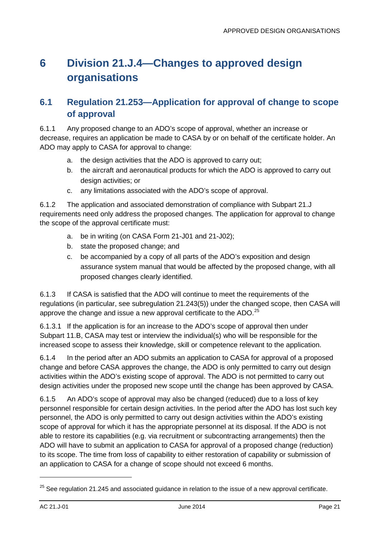## <span id="page-21-0"></span>**6 Division 21.J.4—Changes to approved design organisations**

## <span id="page-21-1"></span>**6.1 Regulation 21.253—Application for approval of change to scope of approval**

6.1.1 Any proposed change to an ADO's scope of approval, whether an increase or decrease, requires an application be made to CASA by or on behalf of the certificate holder. An ADO may apply to CASA for approval to change:

- a. the design activities that the ADO is approved to carry out;
- b. the aircraft and aeronautical products for which the ADO is approved to carry out design activities; or
- c. any limitations associated with the ADO's scope of approval.

6.1.2 The application and associated demonstration of compliance with Subpart 21.J requirements need only address the proposed changes. The application for approval to change the scope of the approval certificate must:

- a. be in writing (on CASA Form 21-J01 and 21-J02);
- b. state the proposed change; and
- c. be accompanied by a copy of all parts of the ADO's exposition and design assurance system manual that would be affected by the proposed change, with all proposed changes clearly identified.

6.1.3 If CASA is satisfied that the ADO will continue to meet the requirements of the regulations (in particular, see subregulation 21.243(5)) under the changed scope, then CASA will approve the change and issue a new approval certificate to the ADO.<sup>[25](#page-21-2)</sup>

6.1.3.1 If the application is for an increase to the ADO's scope of approval then under Subpart 11.B, CASA may test or interview the individual(s) who will be responsible for the increased scope to assess their knowledge, skill or competence relevant to the application.

6.1.4 In the period after an ADO submits an application to CASA for approval of a proposed change and before CASA approves the change, the ADO is only permitted to carry out design activities within the ADO's existing scope of approval. The ADO is not permitted to carry out design activities under the proposed new scope until the change has been approved by CASA.

6.1.5 An ADO's scope of approval may also be changed (reduced) due to a loss of key personnel responsible for certain design activities. In the period after the ADO has lost such key personnel, the ADO is only permitted to carry out design activities within the ADO's existing scope of approval for which it has the appropriate personnel at its disposal. If the ADO is not able to restore its capabilities (e.g. via recruitment or subcontracting arrangements) then the ADO will have to submit an application to CASA for approval of a proposed change (reduction) to its scope. The time from loss of capability to either restoration of capability or submission of an application to CASA for a change of scope should not exceed 6 months.

<span id="page-21-2"></span> $25$  See regulation 21.245 and associated guidance in relation to the issue of a new approval certificate.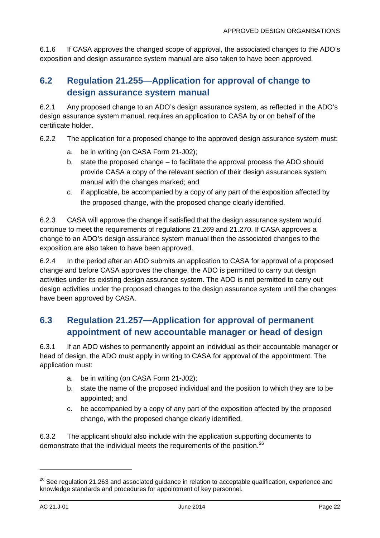6.1.6 If CASA approves the changed scope of approval, the associated changes to the ADO's exposition and design assurance system manual are also taken to have been approved.

## <span id="page-22-0"></span>**6.2 Regulation 21.255—Application for approval of change to design assurance system manual**

6.2.1 Any proposed change to an ADO's design assurance system, as reflected in the ADO's design assurance system manual, requires an application to CASA by or on behalf of the certificate holder.

6.2.2 The application for a proposed change to the approved design assurance system must:

- a. be in writing (on CASA Form 21-J02);
- b. state the proposed change to facilitate the approval process the ADO should provide CASA a copy of the relevant section of their design assurances system manual with the changes marked; and
- c. if applicable, be accompanied by a copy of any part of the exposition affected by the proposed change, with the proposed change clearly identified.

6.2.3 CASA will approve the change if satisfied that the design assurance system would continue to meet the requirements of regulations 21.269 and 21.270. If CASA approves a change to an ADO's design assurance system manual then the associated changes to the exposition are also taken to have been approved.

6.2.4 In the period after an ADO submits an application to CASA for approval of a proposed change and before CASA approves the change, the ADO is permitted to carry out design activities under its existing design assurance system. The ADO is not permitted to carry out design activities under the proposed changes to the design assurance system until the changes have been approved by CASA.

## <span id="page-22-1"></span>**6.3 Regulation 21.257—Application for approval of permanent appointment of new accountable manager or head of design**

6.3.1 If an ADO wishes to permanently appoint an individual as their accountable manager or head of design, the ADO must apply in writing to CASA for approval of the appointment. The application must:

- a. be in writing (on CASA Form 21-J02);
- b. state the name of the proposed individual and the position to which they are to be appointed; and
- c. be accompanied by a copy of any part of the exposition affected by the proposed change, with the proposed change clearly identified.

6.3.2 The applicant should also include with the application supporting documents to demonstrate that the individual meets the requirements of the position.<sup>[26](#page-22-2)</sup>

<span id="page-22-2"></span><sup>&</sup>lt;sup>26</sup> See regulation 21.263 and associated guidance in relation to acceptable qualification, experience and knowledge standards and procedures for appointment of key personnel.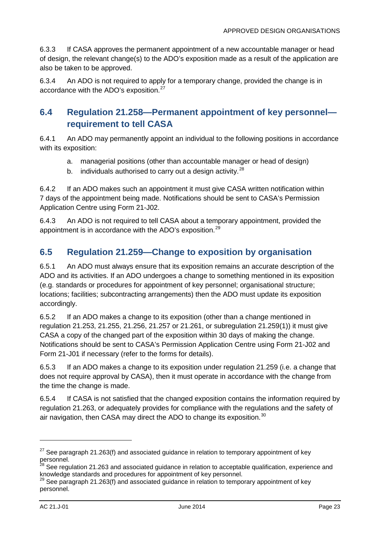6.3.3 If CASA approves the permanent appointment of a new accountable manager or head of design, the relevant change(s) to the ADO's exposition made as a result of the application are also be taken to be approved.

6.3.4 An ADO is not required to apply for a temporary change, provided the change is in accordance with the ADO's exposition.<sup>[27](#page-23-2)</sup>

## <span id="page-23-0"></span>**6.4 Regulation 21.258—Permanent appointment of key personnel requirement to tell CASA**

6.4.1 An ADO may permanently appoint an individual to the following positions in accordance with its exposition:

- a. managerial positions (other than accountable manager or head of design)
- b. individuals authorised to carry out a design activity. $^{28}$  $^{28}$  $^{28}$

6.4.2 If an ADO makes such an appointment it must give CASA written notification within 7 days of the appointment being made. Notifications should be sent to CASA's Permission Application Centre using Form 21-J02.

6.4.3 An ADO is not required to tell CASA about a temporary appointment, provided the appointment is in accordance with the ADO's exposition.<sup>[29](#page-23-4)</sup>

## <span id="page-23-1"></span>**6.5 Regulation 21.259—Change to exposition by organisation**

6.5.1 An ADO must always ensure that its exposition remains an accurate description of the ADO and its activities. If an ADO undergoes a change to something mentioned in its exposition (e.g. standards or procedures for appointment of key personnel; organisational structure; locations; facilities; subcontracting arrangements) then the ADO must update its exposition accordingly.

6.5.2 If an ADO makes a change to its exposition (other than a change mentioned in regulation 21.253, 21.255, 21.256, 21.257 or 21.261, or subregulation 21.259(1)) it must give CASA a copy of the changed part of the exposition within 30 days of making the change. Notifications should be sent to CASA's Permission Application Centre using Form 21-J02 and Form 21-J01 if necessary (refer to the forms for details).

6.5.3 If an ADO makes a change to its exposition under regulation 21.259 (i.e. a change that does not require approval by CASA), then it must operate in accordance with the change from the time the change is made.

6.5.4 If CASA is not satisfied that the changed exposition contains the information required by regulation 21.263, or adequately provides for compliance with the regulations and the safety of air navigation, then CASA may direct the ADO to change its exposition. $^{30}$  $^{30}$  $^{30}$ 

<span id="page-23-2"></span> $27$  See paragraph 21.263(f) and associated guidance in relation to temporary appointment of key

<span id="page-23-3"></span>personnel.<br><sup>28</sup> See regulation 21.263 and associated guidance in relation to acceptable qualification, experience and knowledge standards and procedures for appointment of key personnel.

<span id="page-23-5"></span><span id="page-23-4"></span>See paragraph 21.263(f) and associated guidance in relation to temporary appointment of key personnel.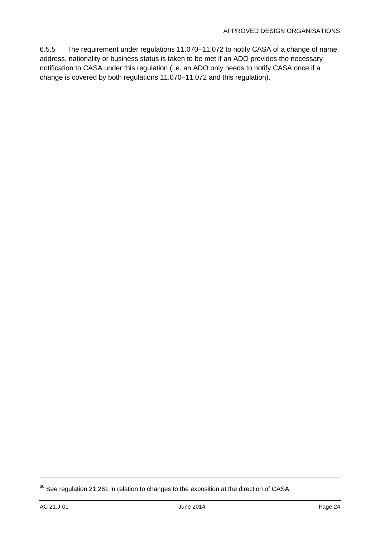6.5.5 The requirement under regulations 11.070–11.072 to notify CASA of a change of name, address, nationality or business status is taken to be met if an ADO provides the necessary notification to CASA under this regulation (i.e. an ADO only needs to notify CASA once if a change is covered by both regulations 11.070–11.072 and this regulation).

<sup>&</sup>lt;sup>30</sup> See regulation 21.261 in relation to changes to the exposition at the direction of CASA.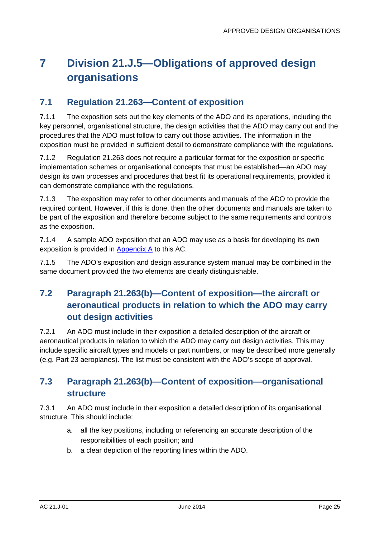# <span id="page-25-0"></span>**7 Division 21.J.5—Obligations of approved design organisations**

## <span id="page-25-1"></span>**7.1 Regulation 21.263—Content of exposition**

7.1.1 The exposition sets out the key elements of the ADO and its operations, including the key personnel, organisational structure, the design activities that the ADO may carry out and the procedures that the ADO must follow to carry out those activities. The information in the exposition must be provided in sufficient detail to demonstrate compliance with the regulations.

7.1.2 Regulation 21.263 does not require a particular format for the exposition or specific implementation schemes or organisational concepts that must be established—an ADO may design its own processes and procedures that best fit its operational requirements, provided it can demonstrate compliance with the regulations.

7.1.3 The exposition may refer to other documents and manuals of the ADO to provide the required content. However, if this is done, then the other documents and manuals are taken to be part of the exposition and therefore become subject to the same requirements and controls as the exposition.

7.1.4 A sample ADO exposition that an ADO may use as a basis for developing its own exposition is provided in [Appendix A](#page-55-1) to this AC.

7.1.5 The ADO's exposition and design assurance system manual may be combined in the same document provided the two elements are clearly distinguishable.

## <span id="page-25-2"></span>**7.2 Paragraph 21.263(b)—Content of exposition—the aircraft or aeronautical products in relation to which the ADO may carry out design activities**

7.2.1 An ADO must include in their exposition a detailed description of the aircraft or aeronautical products in relation to which the ADO may carry out design activities. This may include specific aircraft types and models or part numbers, or may be described more generally (e.g. Part 23 aeroplanes). The list must be consistent with the ADO's scope of approval.

### <span id="page-25-3"></span>**7.3 Paragraph 21.263(b)—Content of exposition—organisational structure**

7.3.1 An ADO must include in their exposition a detailed description of its organisational structure. This should include:

- a. all the key positions, including or referencing an accurate description of the responsibilities of each position; and
- b. a clear depiction of the reporting lines within the ADO.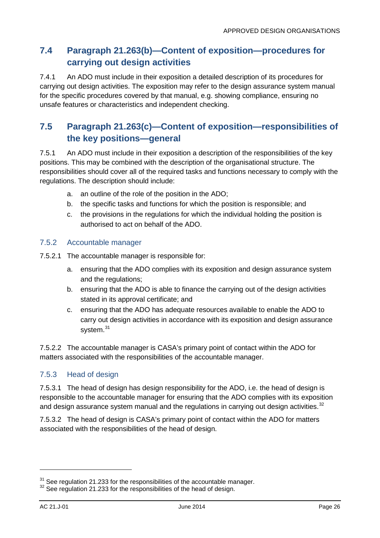## <span id="page-26-0"></span>**7.4 Paragraph 21.263(b)—Content of exposition—procedures for carrying out design activities**

7.4.1 An ADO must include in their exposition a detailed description of its procedures for carrying out design activities. The exposition may refer to the design assurance system manual for the specific procedures covered by that manual, e.g. showing compliance, ensuring no unsafe features or characteristics and independent checking.

## <span id="page-26-1"></span>**7.5 Paragraph 21.263(c)—Content of exposition—responsibilities of the key positions—general**

7.5.1 An ADO must include in their exposition a description of the responsibilities of the key positions. This may be combined with the description of the organisational structure. The responsibilities should cover all of the required tasks and functions necessary to comply with the regulations. The description should include:

- a. an outline of the role of the position in the ADO;
- b. the specific tasks and functions for which the position is responsible; and
- c. the provisions in the regulations for which the individual holding the position is authorised to act on behalf of the ADO.

#### <span id="page-26-4"></span>7.5.2 Accountable manager

- 7.5.2.1 The accountable manager is responsible for:
	- a. ensuring that the ADO complies with its exposition and design assurance system and the regulations;
	- b. ensuring that the ADO is able to finance the carrying out of the design activities stated in its approval certificate; and
	- c. ensuring that the ADO has adequate resources available to enable the ADO to carry out design activities in accordance with its exposition and design assurance system.<sup>[31](#page-26-2)</sup>

7.5.2.2 The accountable manager is CASA's primary point of contact within the ADO for matters associated with the responsibilities of the accountable manager.

#### 7.5.3 Head of design

7.5.3.1 The head of design has design responsibility for the ADO, i.e. the head of design is responsible to the accountable manager for ensuring that the ADO complies with its exposition and design assurance system manual and the regulations in carrying out design activities.<sup>[32](#page-26-3)</sup>

7.5.3.2 The head of design is CASA's primary point of contact within the ADO for matters associated with the responsibilities of the head of design.

<span id="page-26-2"></span> $31$  See regulation 21.233 for the responsibilities of the accountable manager.<br> $32$  See regulation 21.233 for the responsibilities of the head of design.

<span id="page-26-3"></span>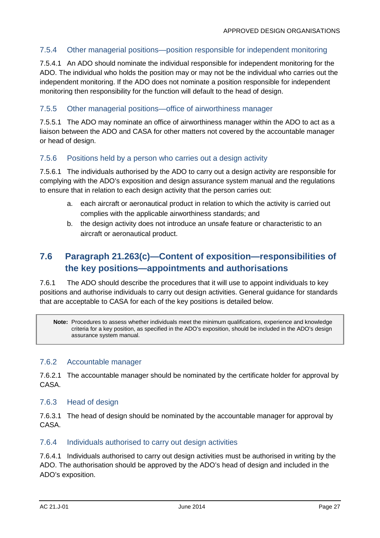#### 7.5.4 Other managerial positions—position responsible for independent monitoring

7.5.4.1 An ADO should nominate the individual responsible for independent monitoring for the ADO. The individual who holds the position may or may not be the individual who carries out the independent monitoring. If the ADO does not nominate a position responsible for independent monitoring then responsibility for the function will default to the head of design.

#### 7.5.5 Other managerial positions—office of airworthiness manager

7.5.5.1 The ADO may nominate an office of airworthiness manager within the ADO to act as a liaison between the ADO and CASA for other matters not covered by the accountable manager or head of design.

#### 7.5.6 Positions held by a person who carries out a design activity

7.5.6.1 The individuals authorised by the ADO to carry out a design activity are responsible for complying with the ADO's exposition and design assurance system manual and the regulations to ensure that in relation to each design activity that the person carries out:

- a. each aircraft or aeronautical product in relation to which the activity is carried out complies with the applicable airworthiness standards; and
- b. the design activity does not introduce an unsafe feature or characteristic to an aircraft or aeronautical product.

## <span id="page-27-0"></span>**7.6 Paragraph 21.263(c)—Content of exposition—responsibilities of the key positions—appointments and authorisations**

7.6.1 The ADO should describe the procedures that it will use to appoint individuals to key positions and authorise individuals to carry out design activities. General guidance for standards that are acceptable to CASA for each of the key positions is detailed below.

**Note:** Procedures to assess whether individuals meet the minimum qualifications, experience and knowledge criteria for a key position, as specified in the ADO's exposition, should be included in the ADO's design assurance system manual.

#### 7.6.2 Accountable manager

7.6.2.1 The accountable manager should be nominated by the certificate holder for approval by CASA.

7.6.3 Head of design

7.6.3.1 The head of design should be nominated by the accountable manager for approval by CASA.

#### 7.6.4 Individuals authorised to carry out design activities

7.6.4.1 Individuals authorised to carry out design activities must be authorised in writing by the ADO. The authorisation should be approved by the ADO's head of design and included in the ADO's exposition.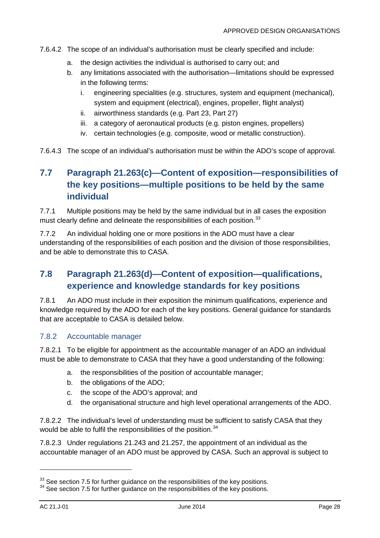- 7.6.4.2 The scope of an individual's authorisation must be clearly specified and include:
	- a. the design activities the individual is authorised to carry out; and
	- b. any limitations associated with the authorisation—limitations should be expressed in the following terms:
		- i. engineering specialities (e.g. structures, system and equipment (mechanical), system and equipment (electrical), engines, propeller, flight analyst)
		- ii. airworthiness standards (e.g. Part 23, Part 27)
		- iii. a category of aeronautical products (e.g. piston engines, propellers)
		- iv. certain technologies (e.g. composite, wood or metallic construction).
- 7.6.4.3 The scope of an individual's authorisation must be within the ADO's scope of approval.

## <span id="page-28-0"></span>**7.7 Paragraph 21.263(c)—Content of exposition—responsibilities of the key positions—multiple positions to be held by the same individual**

7.7.1 Multiple positions may be held by the same individual but in all cases the exposition must clearly define and delineate the responsibilities of each position.<sup>[33](#page-28-2)</sup>

7.7.2 An individual holding one or more positions in the ADO must have a clear understanding of the responsibilities of each position and the division of those responsibilities, and be able to demonstrate this to CASA.

## <span id="page-28-1"></span>**7.8 Paragraph 21.263(d)—Content of exposition—qualifications, experience and knowledge standards for key positions**

7.8.1 An ADO must include in their exposition the minimum qualifications, experience and knowledge required by the ADO for each of the key positions. General guidance for standards that are acceptable to CASA is detailed below.

#### 7.8.2 Accountable manager

7.8.2.1 To be eligible for appointment as the accountable manager of an ADO an individual must be able to demonstrate to CASA that they have a good understanding of the following:

- a. the responsibilities of the position of accountable manager;
- b. the obligations of the ADO;
- c. the scope of the ADO's approval; and
- d. the organisational structure and high level operational arrangements of the ADO.

7.8.2.2 The individual's level of understanding must be sufficient to satisfy CASA that they would be able to fulfil the responsibilities of the position. $^{34}$  $^{34}$  $^{34}$ 

7.8.2.3 Under regulations 21.243 and 21.257, the appointment of an individual as the accountable manager of an ADO must be approved by CASA. Such an approval is subject to

<span id="page-28-2"></span> $33$  See section [7.5](#page-26-1) for further guidance on the responsibilities of the key positions.<br> $34$  See section 7.5 for further guidance on the responsibilities of the key positions.

<span id="page-28-3"></span>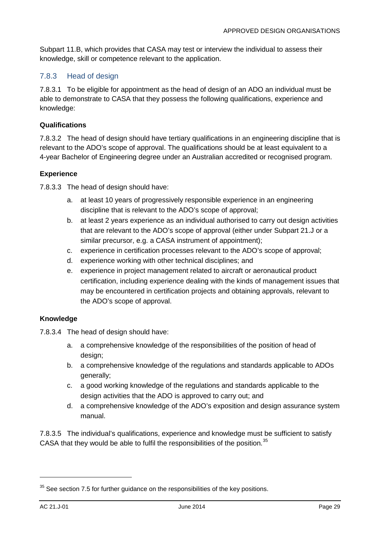Subpart 11.B, which provides that CASA may test or interview the individual to assess their knowledge, skill or competence relevant to the application.

#### 7.8.3 Head of design

7.8.3.1 To be eligible for appointment as the head of design of an ADO an individual must be able to demonstrate to CASA that they possess the following qualifications, experience and knowledge:

#### **Qualifications**

7.8.3.2 The head of design should have tertiary qualifications in an engineering discipline that is relevant to the ADO's scope of approval. The qualifications should be at least equivalent to a 4-year Bachelor of Engineering degree under an Australian accredited or recognised program.

#### **Experience**

7.8.3.3 The head of design should have:

- a. at least 10 years of progressively responsible experience in an engineering discipline that is relevant to the ADO's scope of approval;
- b. at least 2 years experience as an individual authorised to carry out design activities that are relevant to the ADO's scope of approval (either under Subpart 21.J or a similar precursor, e.g. a CASA instrument of appointment);
- c. experience in certification processes relevant to the ADO's scope of approval;
- d. experience working with other technical disciplines; and
- e. experience in project management related to aircraft or aeronautical product certification, including experience dealing with the kinds of management issues that may be encountered in certification projects and obtaining approvals, relevant to the ADO's scope of approval.

#### **Knowledge**

7.8.3.4 The head of design should have:

- a. a comprehensive knowledge of the responsibilities of the position of head of design;
- b. a comprehensive knowledge of the regulations and standards applicable to ADOs generally;
- c. a good working knowledge of the regulations and standards applicable to the design activities that the ADO is approved to carry out; and
- d. a comprehensive knowledge of the ADO's exposition and design assurance system manual.

7.8.3.5 The individual's qualifications, experience and knowledge must be sufficient to satisfy CASA that they would be able to fulfil the responsibilities of the position.<sup>[35](#page-29-0)</sup>

<span id="page-29-0"></span> $35$  See section [7.5](#page-26-1) for further guidance on the responsibilities of the key positions.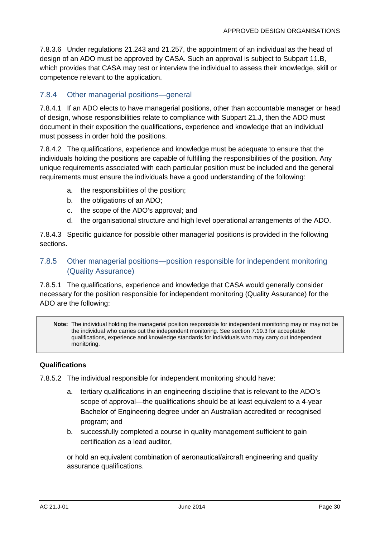7.8.3.6 Under regulations 21.243 and 21.257, the appointment of an individual as the head of design of an ADO must be approved by CASA. Such an approval is subject to Subpart 11.B, which provides that CASA may test or interview the individual to assess their knowledge, skill or competence relevant to the application.

#### 7.8.4 Other managerial positions—general

7.8.4.1 If an ADO elects to have managerial positions, other than accountable manager or head of design, whose responsibilities relate to compliance with Subpart 21.J, then the ADO must document in their exposition the qualifications, experience and knowledge that an individual must possess in order hold the positions.

7.8.4.2 The qualifications, experience and knowledge must be adequate to ensure that the individuals holding the positions are capable of fulfilling the responsibilities of the position. Any unique requirements associated with each particular position must be included and the general requirements must ensure the individuals have a good understanding of the following:

- a. the responsibilities of the position;
- b. the obligations of an ADO;
- c. the scope of the ADO's approval; and
- d. the organisational structure and high level operational arrangements of the ADO.

7.8.4.3 Specific guidance for possible other managerial positions is provided in the following sections.

#### 7.8.5 Other managerial positions—position responsible for independent monitoring (Quality Assurance)

7.8.5.1 The qualifications, experience and knowledge that CASA would generally consider necessary for the position responsible for independent monitoring (Quality Assurance) for the ADO are the following:

**Note:** The individual holding the managerial position responsible for independent monitoring may or may not be the individual who carries out the independent monitoring. See section [7.19.3](#page-48-0) for acceptable qualifications, experience and knowledge standards for individuals who may carry out independent monitoring.

#### **Qualifications**

7.8.5.2 The individual responsible for independent monitoring should have:

- a. tertiary qualifications in an engineering discipline that is relevant to the ADO's scope of approval—the qualifications should be at least equivalent to a 4-year Bachelor of Engineering degree under an Australian accredited or recognised program; and
- b. successfully completed a course in quality management sufficient to gain certification as a lead auditor,

or hold an equivalent combination of aeronautical/aircraft engineering and quality assurance qualifications.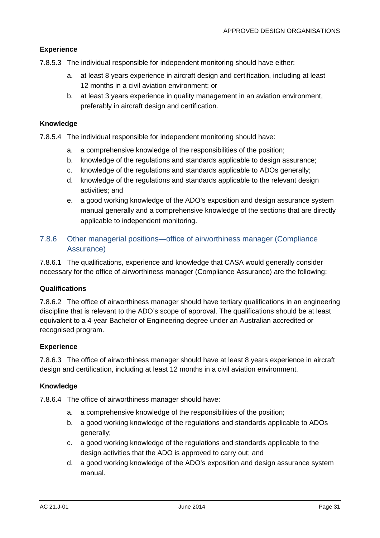#### **Experience**

7.8.5.3 The individual responsible for independent monitoring should have either:

- a. at least 8 years experience in aircraft design and certification, including at least 12 months in a civil aviation environment; or
- b. at least 3 years experience in quality management in an aviation environment, preferably in aircraft design and certification.

#### **Knowledge**

7.8.5.4 The individual responsible for independent monitoring should have:

- a. a comprehensive knowledge of the responsibilities of the position;
- b. knowledge of the regulations and standards applicable to design assurance;
- c. knowledge of the regulations and standards applicable to ADOs generally;
- d. knowledge of the regulations and standards applicable to the relevant design activities; and
- e. a good working knowledge of the ADO's exposition and design assurance system manual generally and a comprehensive knowledge of the sections that are directly applicable to independent monitoring.

#### 7.8.6 Other managerial positions—office of airworthiness manager (Compliance Assurance)

7.8.6.1 The qualifications, experience and knowledge that CASA would generally consider necessary for the office of airworthiness manager (Compliance Assurance) are the following:

#### **Qualifications**

7.8.6.2 The office of airworthiness manager should have tertiary qualifications in an engineering discipline that is relevant to the ADO's scope of approval. The qualifications should be at least equivalent to a 4-year Bachelor of Engineering degree under an Australian accredited or recognised program.

#### **Experience**

7.8.6.3 The office of airworthiness manager should have at least 8 years experience in aircraft design and certification, including at least 12 months in a civil aviation environment.

#### **Knowledge**

7.8.6.4 The office of airworthiness manager should have:

- a. a comprehensive knowledge of the responsibilities of the position;
- b. a good working knowledge of the regulations and standards applicable to ADOs generally;
- c. a good working knowledge of the regulations and standards applicable to the design activities that the ADO is approved to carry out; and
- d. a good working knowledge of the ADO's exposition and design assurance system manual.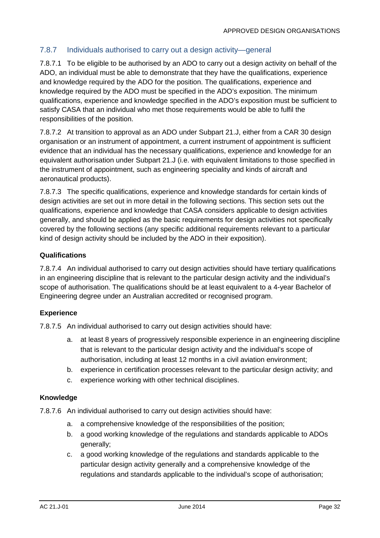#### 7.8.7 Individuals authorised to carry out a design activity—general

7.8.7.1 To be eligible to be authorised by an ADO to carry out a design activity on behalf of the ADO, an individual must be able to demonstrate that they have the qualifications, experience and knowledge required by the ADO for the position. The qualifications, experience and knowledge required by the ADO must be specified in the ADO's exposition. The minimum qualifications, experience and knowledge specified in the ADO's exposition must be sufficient to satisfy CASA that an individual who met those requirements would be able to fulfil the responsibilities of the position.

7.8.7.2 At transition to approval as an ADO under Subpart 21.J, either from a CAR 30 design organisation or an instrument of appointment, a current instrument of appointment is sufficient evidence that an individual has the necessary qualifications, experience and knowledge for an equivalent authorisation under Subpart 21.J (i.e. with equivalent limitations to those specified in the instrument of appointment, such as engineering speciality and kinds of aircraft and aeronautical products).

7.8.7.3 The specific qualifications, experience and knowledge standards for certain kinds of design activities are set out in more detail in the following sections. This section sets out the qualifications, experience and knowledge that CASA considers applicable to design activities generally, and should be applied as the basic requirements for design activities not specifically covered by the following sections (any specific additional requirements relevant to a particular kind of design activity should be included by the ADO in their exposition).

#### **Qualifications**

7.8.7.4 An individual authorised to carry out design activities should have tertiary qualifications in an engineering discipline that is relevant to the particular design activity and the individual's scope of authorisation. The qualifications should be at least equivalent to a 4-year Bachelor of Engineering degree under an Australian accredited or recognised program.

#### **Experience**

7.8.7.5 An individual authorised to carry out design activities should have:

- a. at least 8 years of progressively responsible experience in an engineering discipline that is relevant to the particular design activity and the individual's scope of authorisation, including at least 12 months in a civil aviation environment;
- b. experience in certification processes relevant to the particular design activity; and
- c. experience working with other technical disciplines.

#### **Knowledge**

7.8.7.6 An individual authorised to carry out design activities should have:

- a. a comprehensive knowledge of the responsibilities of the position;
- b. a good working knowledge of the regulations and standards applicable to ADOs generally;
- c. a good working knowledge of the regulations and standards applicable to the particular design activity generally and a comprehensive knowledge of the regulations and standards applicable to the individual's scope of authorisation;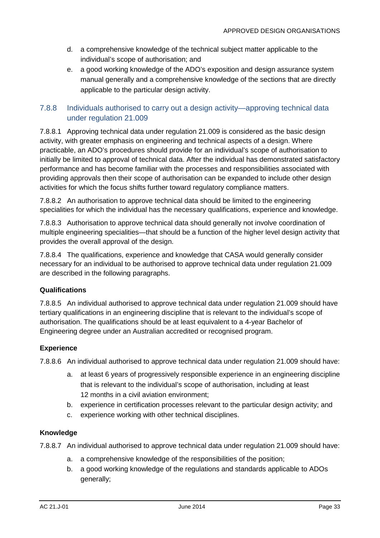- d. a comprehensive knowledge of the technical subject matter applicable to the individual's scope of authorisation; and
- e. a good working knowledge of the ADO's exposition and design assurance system manual generally and a comprehensive knowledge of the sections that are directly applicable to the particular design activity.

#### 7.8.8 Individuals authorised to carry out a design activity—approving technical data under regulation 21.009

7.8.8.1 Approving technical data under regulation 21.009 is considered as the basic design activity, with greater emphasis on engineering and technical aspects of a design. Where practicable, an ADO's procedures should provide for an individual's scope of authorisation to initially be limited to approval of technical data. After the individual has demonstrated satisfactory performance and has become familiar with the processes and responsibilities associated with providing approvals then their scope of authorisation can be expanded to include other design activities for which the focus shifts further toward regulatory compliance matters.

7.8.8.2 An authorisation to approve technical data should be limited to the engineering specialities for which the individual has the necessary qualifications, experience and knowledge.

7.8.8.3 Authorisation to approve technical data should generally not involve coordination of multiple engineering specialities—that should be a function of the higher level design activity that provides the overall approval of the design.

7.8.8.4 The qualifications, experience and knowledge that CASA would generally consider necessary for an individual to be authorised to approve technical data under regulation 21.009 are described in the following paragraphs.

#### **Qualifications**

7.8.8.5 An individual authorised to approve technical data under regulation 21.009 should have tertiary qualifications in an engineering discipline that is relevant to the individual's scope of authorisation. The qualifications should be at least equivalent to a 4-year Bachelor of Engineering degree under an Australian accredited or recognised program.

#### **Experience**

7.8.8.6 An individual authorised to approve technical data under regulation 21.009 should have:

- a. at least 6 years of progressively responsible experience in an engineering discipline that is relevant to the individual's scope of authorisation, including at least 12 months in a civil aviation environment;
- b. experience in certification processes relevant to the particular design activity; and
- c. experience working with other technical disciplines.

#### **Knowledge**

7.8.8.7 An individual authorised to approve technical data under regulation 21.009 should have:

- a. a comprehensive knowledge of the responsibilities of the position;
- b. a good working knowledge of the regulations and standards applicable to ADOs generally;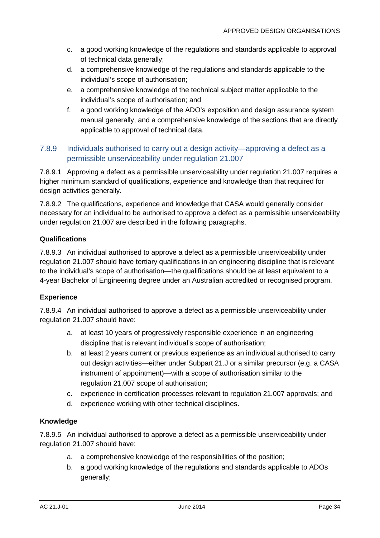- c. a good working knowledge of the regulations and standards applicable to approval of technical data generally;
- d. a comprehensive knowledge of the regulations and standards applicable to the individual's scope of authorisation;
- e. a comprehensive knowledge of the technical subject matter applicable to the individual's scope of authorisation; and
- f. a good working knowledge of the ADO's exposition and design assurance system manual generally, and a comprehensive knowledge of the sections that are directly applicable to approval of technical data.

#### 7.8.9 Individuals authorised to carry out a design activity—approving a defect as a permissible unserviceability under regulation 21.007

7.8.9.1 Approving a defect as a permissible unserviceability under regulation 21.007 requires a higher minimum standard of qualifications, experience and knowledge than that required for design activities generally.

7.8.9.2 The qualifications, experience and knowledge that CASA would generally consider necessary for an individual to be authorised to approve a defect as a permissible unserviceability under regulation 21.007 are described in the following paragraphs.

#### **Qualifications**

7.8.9.3 An individual authorised to approve a defect as a permissible unserviceability under regulation 21.007 should have tertiary qualifications in an engineering discipline that is relevant to the individual's scope of authorisation—the qualifications should be at least equivalent to a 4-year Bachelor of Engineering degree under an Australian accredited or recognised program.

#### **Experience**

7.8.9.4 An individual authorised to approve a defect as a permissible unserviceability under regulation 21.007 should have:

- a. at least 10 years of progressively responsible experience in an engineering discipline that is relevant individual's scope of authorisation;
- b. at least 2 years current or previous experience as an individual authorised to carry out design activities—either under Subpart 21.J or a similar precursor (e.g. a CASA instrument of appointment)—with a scope of authorisation similar to the regulation 21.007 scope of authorisation;
- c. experience in certification processes relevant to regulation 21.007 approvals; and
- d. experience working with other technical disciplines.

#### **Knowledge**

7.8.9.5 An individual authorised to approve a defect as a permissible unserviceability under regulation 21.007 should have:

- a. a comprehensive knowledge of the responsibilities of the position;
- b. a good working knowledge of the regulations and standards applicable to ADOs generally;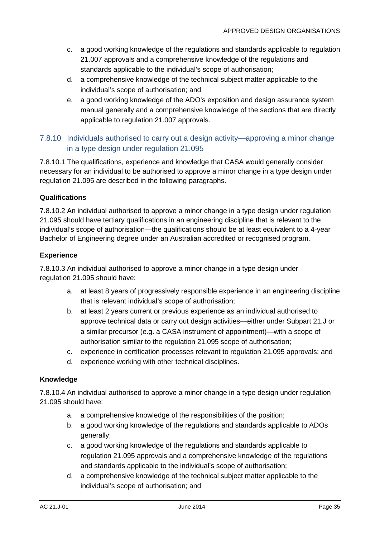- c. a good working knowledge of the regulations and standards applicable to regulation 21.007 approvals and a comprehensive knowledge of the regulations and standards applicable to the individual's scope of authorisation;
- d. a comprehensive knowledge of the technical subject matter applicable to the individual's scope of authorisation; and
- e. a good working knowledge of the ADO's exposition and design assurance system manual generally and a comprehensive knowledge of the sections that are directly applicable to regulation 21.007 approvals.

#### 7.8.10 Individuals authorised to carry out a design activity—approving a minor change in a type design under regulation 21.095

7.8.10.1 The qualifications, experience and knowledge that CASA would generally consider necessary for an individual to be authorised to approve a minor change in a type design under regulation 21.095 are described in the following paragraphs.

#### **Qualifications**

7.8.10.2 An individual authorised to approve a minor change in a type design under regulation 21.095 should have tertiary qualifications in an engineering discipline that is relevant to the individual's scope of authorisation—the qualifications should be at least equivalent to a 4-year Bachelor of Engineering degree under an Australian accredited or recognised program.

#### **Experience**

7.8.10.3 An individual authorised to approve a minor change in a type design under regulation 21.095 should have:

- a. at least 8 years of progressively responsible experience in an engineering discipline that is relevant individual's scope of authorisation;
- b. at least 2 years current or previous experience as an individual authorised to approve technical data or carry out design activities—either under Subpart 21.J or a similar precursor (e.g. a CASA instrument of appointment)—with a scope of authorisation similar to the regulation 21.095 scope of authorisation;
- c. experience in certification processes relevant to regulation 21.095 approvals; and
- d. experience working with other technical disciplines.

#### **Knowledge**

7.8.10.4 An individual authorised to approve a minor change in a type design under regulation 21.095 should have:

- a. a comprehensive knowledge of the responsibilities of the position;
- b. a good working knowledge of the regulations and standards applicable to ADOs generally;
- c. a good working knowledge of the regulations and standards applicable to regulation 21.095 approvals and a comprehensive knowledge of the regulations and standards applicable to the individual's scope of authorisation;
- d. a comprehensive knowledge of the technical subject matter applicable to the individual's scope of authorisation; and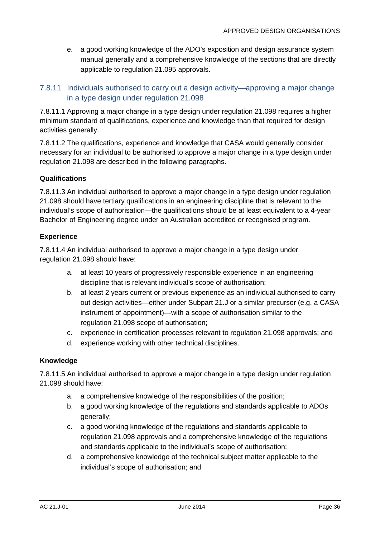e. a good working knowledge of the ADO's exposition and design assurance system manual generally and a comprehensive knowledge of the sections that are directly applicable to regulation 21.095 approvals.

#### 7.8.11 Individuals authorised to carry out a design activity—approving a major change in a type design under regulation 21.098

7.8.11.1 Approving a major change in a type design under regulation 21.098 requires a higher minimum standard of qualifications, experience and knowledge than that required for design activities generally.

7.8.11.2 The qualifications, experience and knowledge that CASA would generally consider necessary for an individual to be authorised to approve a major change in a type design under regulation 21.098 are described in the following paragraphs.

#### **Qualifications**

7.8.11.3 An individual authorised to approve a major change in a type design under regulation 21.098 should have tertiary qualifications in an engineering discipline that is relevant to the individual's scope of authorisation—the qualifications should be at least equivalent to a 4-year Bachelor of Engineering degree under an Australian accredited or recognised program.

#### **Experience**

7.8.11.4 An individual authorised to approve a major change in a type design under regulation 21.098 should have:

- a. at least 10 years of progressively responsible experience in an engineering discipline that is relevant individual's scope of authorisation;
- b. at least 2 years current or previous experience as an individual authorised to carry out design activities—either under Subpart 21.J or a similar precursor (e.g. a CASA instrument of appointment)—with a scope of authorisation similar to the regulation 21.098 scope of authorisation;
- c. experience in certification processes relevant to regulation 21.098 approvals; and
- d. experience working with other technical disciplines.

#### **Knowledge**

7.8.11.5 An individual authorised to approve a major change in a type design under regulation 21.098 should have:

- a. a comprehensive knowledge of the responsibilities of the position;
- b. a good working knowledge of the regulations and standards applicable to ADOs generally;
- c. a good working knowledge of the regulations and standards applicable to regulation 21.098 approvals and a comprehensive knowledge of the regulations and standards applicable to the individual's scope of authorisation;
- d. a comprehensive knowledge of the technical subject matter applicable to the individual's scope of authorisation; and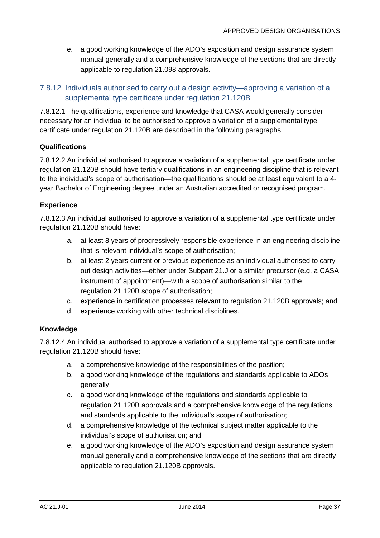e. a good working knowledge of the ADO's exposition and design assurance system manual generally and a comprehensive knowledge of the sections that are directly applicable to regulation 21.098 approvals.

7.8.12 Individuals authorised to carry out a design activity—approving a variation of a supplemental type certificate under regulation 21.120B

7.8.12.1 The qualifications, experience and knowledge that CASA would generally consider necessary for an individual to be authorised to approve a variation of a supplemental type certificate under regulation 21.120B are described in the following paragraphs.

#### **Qualifications**

7.8.12.2 An individual authorised to approve a variation of a supplemental type certificate under regulation 21.120B should have tertiary qualifications in an engineering discipline that is relevant to the individual's scope of authorisation—the qualifications should be at least equivalent to a 4 year Bachelor of Engineering degree under an Australian accredited or recognised program.

#### **Experience**

7.8.12.3 An individual authorised to approve a variation of a supplemental type certificate under regulation 21.120B should have:

- a. at least 8 years of progressively responsible experience in an engineering discipline that is relevant individual's scope of authorisation;
- b. at least 2 years current or previous experience as an individual authorised to carry out design activities—either under Subpart 21.J or a similar precursor (e.g. a CASA instrument of appointment)—with a scope of authorisation similar to the regulation 21.120B scope of authorisation;
- c. experience in certification processes relevant to regulation 21.120B approvals; and
- d. experience working with other technical disciplines.

#### **Knowledge**

7.8.12.4 An individual authorised to approve a variation of a supplemental type certificate under regulation 21.120B should have:

- a. a comprehensive knowledge of the responsibilities of the position;
- b. a good working knowledge of the regulations and standards applicable to ADOs generally;
- c. a good working knowledge of the regulations and standards applicable to regulation 21.120B approvals and a comprehensive knowledge of the regulations and standards applicable to the individual's scope of authorisation;
- d. a comprehensive knowledge of the technical subject matter applicable to the individual's scope of authorisation; and
- e. a good working knowledge of the ADO's exposition and design assurance system manual generally and a comprehensive knowledge of the sections that are directly applicable to regulation 21.120B approvals.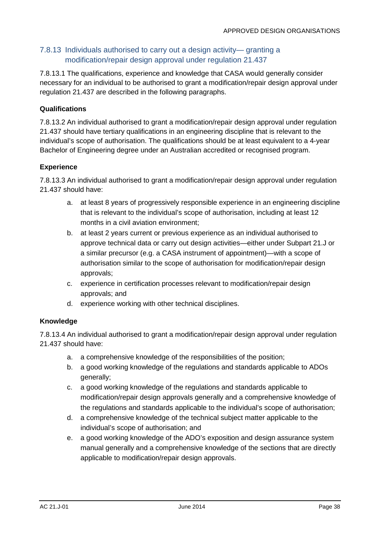#### 7.8.13 Individuals authorised to carry out a design activity— granting a modification/repair design approval under regulation 21.437

7.8.13.1 The qualifications, experience and knowledge that CASA would generally consider necessary for an individual to be authorised to grant a modification/repair design approval under regulation 21.437 are described in the following paragraphs.

#### **Qualifications**

7.8.13.2 An individual authorised to grant a modification/repair design approval under regulation 21.437 should have tertiary qualifications in an engineering discipline that is relevant to the individual's scope of authorisation. The qualifications should be at least equivalent to a 4-year Bachelor of Engineering degree under an Australian accredited or recognised program.

#### **Experience**

7.8.13.3 An individual authorised to grant a modification/repair design approval under regulation 21.437 should have:

- a. at least 8 years of progressively responsible experience in an engineering discipline that is relevant to the individual's scope of authorisation, including at least 12 months in a civil aviation environment;
- b. at least 2 years current or previous experience as an individual authorised to approve technical data or carry out design activities—either under Subpart 21.J or a similar precursor (e.g. a CASA instrument of appointment)—with a scope of authorisation similar to the scope of authorisation for modification/repair design approvals;
- c. experience in certification processes relevant to modification/repair design approvals; and
- d. experience working with other technical disciplines.

#### **Knowledge**

7.8.13.4 An individual authorised to grant a modification/repair design approval under regulation 21.437 should have:

- a. a comprehensive knowledge of the responsibilities of the position;
- b. a good working knowledge of the regulations and standards applicable to ADOs generally;
- c. a good working knowledge of the regulations and standards applicable to modification/repair design approvals generally and a comprehensive knowledge of the regulations and standards applicable to the individual's scope of authorisation;
- d. a comprehensive knowledge of the technical subject matter applicable to the individual's scope of authorisation; and
- e. a good working knowledge of the ADO's exposition and design assurance system manual generally and a comprehensive knowledge of the sections that are directly applicable to modification/repair design approvals.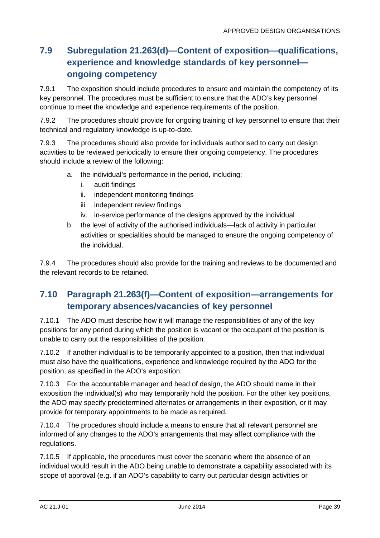## <span id="page-39-0"></span>**7.9 Subregulation 21.263(d)—Content of exposition—qualifications, experience and knowledge standards of key personnel ongoing competency**

7.9.1 The exposition should include procedures to ensure and maintain the competency of its key personnel. The procedures must be sufficient to ensure that the ADO's key personnel continue to meet the knowledge and experience requirements of the position.

7.9.2 The procedures should provide for ongoing training of key personnel to ensure that their technical and regulatory knowledge is up-to-date.

7.9.3 The procedures should also provide for individuals authorised to carry out design activities to be reviewed periodically to ensure their ongoing competency. The procedures should include a review of the following:

- a. the individual's performance in the period, including:
	- i. audit findings
	- ii. independent monitoring findings
	- iii. independent review findings
	- iv. in-service performance of the designs approved by the individual
- b. the level of activity of the authorised individuals—lack of activity in particular activities or specialities should be managed to ensure the ongoing competency of the individual.

7.9.4 The procedures should also provide for the training and reviews to be documented and the relevant records to be retained.

## <span id="page-39-1"></span>**7.10 Paragraph 21.263(f)—Content of exposition—arrangements for temporary absences/vacancies of key personnel**

7.10.1 The ADO must describe how it will manage the responsibilities of any of the key positions for any period during which the position is vacant or the occupant of the position is unable to carry out the responsibilities of the position.

7.10.2 If another individual is to be temporarily appointed to a position, then that individual must also have the qualifications, experience and knowledge required by the ADO for the position, as specified in the ADO's exposition.

7.10.3 For the accountable manager and head of design, the ADO should name in their exposition the individual(s) who may temporarily hold the position. For the other key positions, the ADO may specify predetermined alternates or arrangements in their exposition, or it may provide for temporary appointments to be made as required.

7.10.4 The procedures should include a means to ensure that all relevant personnel are informed of any changes to the ADO's arrangements that may affect compliance with the regulations.

<span id="page-39-2"></span>7.10.5 If applicable, the procedures must cover the scenario where the absence of an individual would result in the ADO being unable to demonstrate a capability associated with its scope of approval (e.g. if an ADO's capability to carry out particular design activities or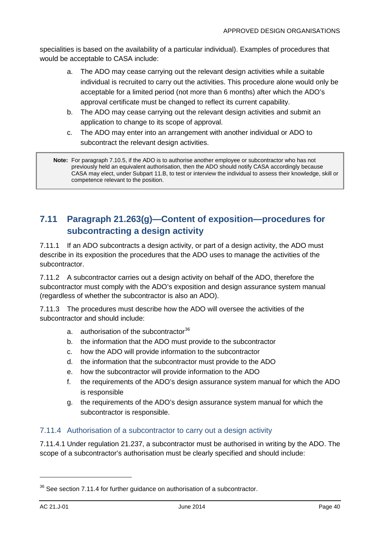specialities is based on the availability of a particular individual). Examples of procedures that would be acceptable to CASA include:

- a. The ADO may cease carrying out the relevant design activities while a suitable individual is recruited to carry out the activities. This procedure alone would only be acceptable for a limited period (not more than 6 months) after which the ADO's approval certificate must be changed to reflect its current capability.
- b. The ADO may cease carrying out the relevant design activities and submit an application to change to its scope of approval.
- c. The ADO may enter into an arrangement with another individual or ADO to subcontract the relevant design activities.

**Note:** For paragrap[h 7.10.5,](#page-39-2) if the ADO is to authorise another employee or subcontractor who has not previously held an equivalent authorisation, then the ADO should notify CASA accordingly because CASA may elect, under Subpart 11.B, to test or interview the individual to assess their knowledge, skill or competence relevant to the position.

## <span id="page-40-0"></span>**7.11 Paragraph 21.263(g)—Content of exposition—procedures for subcontracting a design activity**

7.11.1 If an ADO subcontracts a design activity, or part of a design activity, the ADO must describe in its exposition the procedures that the ADO uses to manage the activities of the subcontractor.

7.11.2 A subcontractor carries out a design activity on behalf of the ADO, therefore the subcontractor must comply with the ADO's exposition and design assurance system manual (regardless of whether the subcontractor is also an ADO).

7.11.3 The procedures must describe how the ADO will oversee the activities of the subcontractor and should include:

- a. authorisation of the subcontractor<sup>[36](#page-40-2)</sup>
- b. the information that the ADO must provide to the subcontractor
- c. how the ADO will provide information to the subcontractor
- d. the information that the subcontractor must provide to the ADO
- e. how the subcontractor will provide information to the ADO
- f. the requirements of the ADO's design assurance system manual for which the ADO is responsible
- g. the requirements of the ADO's design assurance system manual for which the subcontractor is responsible.

#### <span id="page-40-1"></span>7.11.4 Authorisation of a subcontractor to carry out a design activity

7.11.4.1 Under regulation 21.237, a subcontractor must be authorised in writing by the ADO. The scope of a subcontractor's authorisation must be clearly specified and should include:

<span id="page-40-2"></span> $36$  See section [7.11.4](#page-40-1) for further guidance on authorisation of a subcontractor.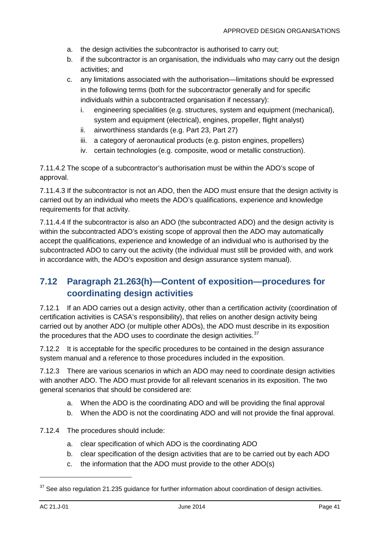- a. the design activities the subcontractor is authorised to carry out;
- b. if the subcontractor is an organisation, the individuals who may carry out the design activities; and
- c. any limitations associated with the authorisation—limitations should be expressed in the following terms (both for the subcontractor generally and for specific individuals within a subcontracted organisation if necessary):
	- i. engineering specialities (e.g. structures, system and equipment (mechanical), system and equipment (electrical), engines, propeller, flight analyst)
	- ii. airworthiness standards (e.g. Part 23, Part 27)
	- iii. a category of aeronautical products (e.g. piston engines, propellers)
	- iv. certain technologies (e.g. composite, wood or metallic construction).

7.11.4.2 The scope of a subcontractor's authorisation must be within the ADO's scope of approval.

7.11.4.3 If the subcontractor is not an ADO, then the ADO must ensure that the design activity is carried out by an individual who meets the ADO's qualifications, experience and knowledge requirements for that activity.

7.11.4.4 If the subcontractor is also an ADO (the subcontracted ADO) and the design activity is within the subcontracted ADO's existing scope of approval then the ADO may automatically accept the qualifications, experience and knowledge of an individual who is authorised by the subcontracted ADO to carry out the activity (the individual must still be provided with, and work in accordance with, the ADO's exposition and design assurance system manual).

## <span id="page-41-0"></span>**7.12 Paragraph 21.263(h)—Content of exposition—procedures for coordinating design activities**

7.12.1 If an ADO carries out a design activity, other than a certification activity (coordination of certification activities is CASA's responsibility), that relies on another design activity being carried out by another ADO (or multiple other ADOs), the ADO must describe in its exposition the procedures that the ADO uses to coordinate the design activities. $37$ 

7.12.2 It is acceptable for the specific procedures to be contained in the design assurance system manual and a reference to those procedures included in the exposition.

7.12.3 There are various scenarios in which an ADO may need to coordinate design activities with another ADO. The ADO must provide for all relevant scenarios in its exposition. The two general scenarios that should be considered are:

- a. When the ADO is the coordinating ADO and will be providing the final approval
- b. When the ADO is not the coordinating ADO and will not provide the final approval.

<span id="page-41-2"></span>7.12.4 The procedures should include:

- a. clear specification of which ADO is the coordinating ADO
- b. clear specification of the design activities that are to be carried out by each ADO
- c. the information that the ADO must provide to the other ADO(s)

<span id="page-41-1"></span> $37$  See also regulation 21.235 guidance for further information about coordination of design activities.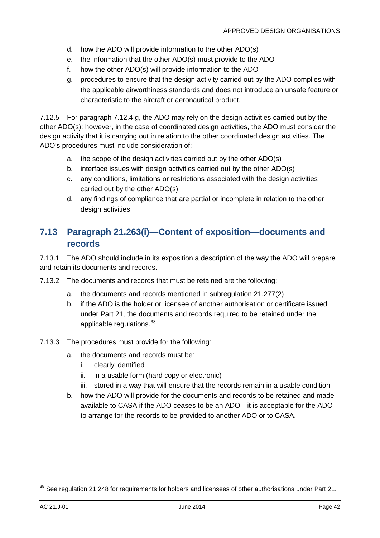- d. how the ADO will provide information to the other ADO(s)
- e. the information that the other ADO(s) must provide to the ADO
- f. how the other ADO(s) will provide information to the ADO
- <span id="page-42-1"></span>g. procedures to ensure that the design activity carried out by the ADO complies with the applicable airworthiness standards and does not introduce an unsafe feature or characteristic to the aircraft or aeronautical product.

7.12.5 For paragraph [7.12.4](#page-41-2)[.g,](#page-42-1) the ADO may rely on the design activities carried out by the other ADO(s); however, in the case of coordinated design activities, the ADO must consider the design activity that it is carrying out in relation to the other coordinated design activities. The ADO's procedures must include consideration of:

- a. the scope of the design activities carried out by the other ADO(s)
- b. interface issues with design activities carried out by the other ADO(s)
- c. any conditions, limitations or restrictions associated with the design activities carried out by the other ADO(s)
- d. any findings of compliance that are partial or incomplete in relation to the other design activities.

## <span id="page-42-0"></span>**7.13 Paragraph 21.263(i)—Content of exposition—documents and records**

7.13.1 The ADO should include in its exposition a description of the way the ADO will prepare and retain its documents and records.

- 7.13.2 The documents and records that must be retained are the following:
	- a. the documents and records mentioned in subregulation 21.277(2)
	- b. if the ADO is the holder or licensee of another authorisation or certificate issued under Part 21, the documents and records required to be retained under the applicable regulations.<sup>[38](#page-42-2)</sup>
- 7.13.3 The procedures must provide for the following:
	- a. the documents and records must be:
		- i. clearly identified
		- ii. in a usable form (hard copy or electronic)
		- iii. stored in a way that will ensure that the records remain in a usable condition
	- b. how the ADO will provide for the documents and records to be retained and made available to CASA if the ADO ceases to be an ADO—it is acceptable for the ADO to arrange for the records to be provided to another ADO or to CASA.

<span id="page-42-2"></span> $38$  See regulation 21.248 for requirements for holders and licensees of other authorisations under Part 21.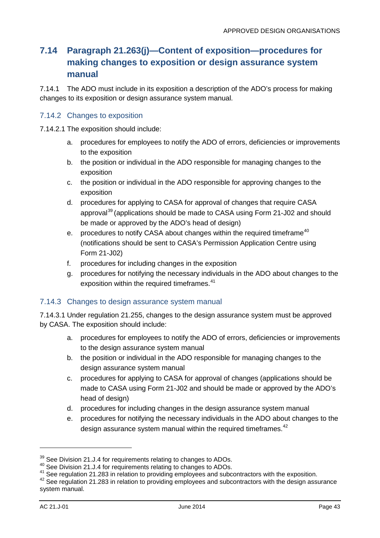## <span id="page-43-0"></span>**7.14 Paragraph 21.263(j)—Content of exposition—procedures for making changes to exposition or design assurance system manual**

7.14.1 The ADO must include in its exposition a description of the ADO's process for making changes to its exposition or design assurance system manual.

#### 7.14.2 Changes to exposition

7.14.2.1 The exposition should include:

- a. procedures for employees to notify the ADO of errors, deficiencies or improvements to the exposition
- b. the position or individual in the ADO responsible for managing changes to the exposition
- c. the position or individual in the ADO responsible for approving changes to the exposition
- d. procedures for applying to CASA for approval of changes that require CASA approval<sup>[39](#page-43-1)</sup> (applications should be made to CASA using Form 21-J02 and should be made or approved by the ADO's head of design)
- e. procedures to notify CASA about changes within the required timeframe<sup>[40](#page-43-2)</sup> (notifications should be sent to CASA's Permission Application Centre using Form 21-J02)
- f. procedures for including changes in the exposition
- g. procedures for notifying the necessary individuals in the ADO about changes to the exposition within the required timeframes. [41](#page-43-3)

#### 7.14.3 Changes to design assurance system manual

7.14.3.1 Under regulation 21.255, changes to the design assurance system must be approved by CASA. The exposition should include:

- a. procedures for employees to notify the ADO of errors, deficiencies or improvements to the design assurance system manual
- b. the position or individual in the ADO responsible for managing changes to the design assurance system manual
- c. procedures for applying to CASA for approval of changes (applications should be made to CASA using Form 21-J02 and should be made or approved by the ADO's head of design)
- d. procedures for including changes in the design assurance system manual
- e. procedures for notifying the necessary individuals in the ADO about changes to the design assurance system manual within the required timeframes.<sup>[42](#page-43-4)</sup>

 $39$  See Division 21.J.4 for requirements relating to changes to ADOs.

<span id="page-43-2"></span><span id="page-43-1"></span><sup>40</sup> See Division 21.J.4 for requirements relating to changes to ADOs.<br><sup>41</sup> See regulation 21.283 in relation to providing employees and subcontractors with the exposition.

<span id="page-43-4"></span><span id="page-43-3"></span><sup>42</sup> See regulation 21.283 in relation to providing employees and subcontractors with the design assurance system manual.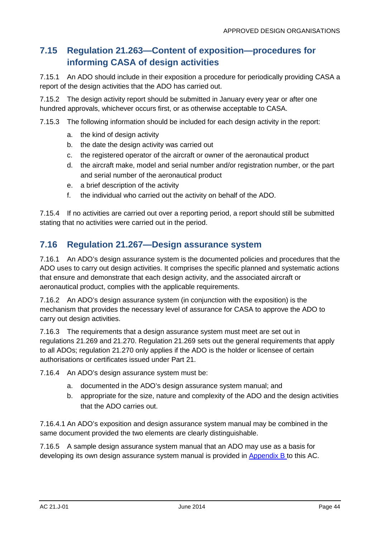## <span id="page-44-0"></span>**7.15 Regulation 21.263—Content of exposition—procedures for informing CASA of design activities**

7.15.1 An ADO should include in their exposition a procedure for periodically providing CASA a report of the design activities that the ADO has carried out.

7.15.2 The design activity report should be submitted in January every year or after one hundred approvals, whichever occurs first, or as otherwise acceptable to CASA.

- 7.15.3 The following information should be included for each design activity in the report:
	- a. the kind of design activity
	- b. the date the design activity was carried out
	- c. the registered operator of the aircraft or owner of the aeronautical product
	- d. the aircraft make, model and serial number and/or registration number, or the part and serial number of the aeronautical product
	- e. a brief description of the activity
	- f. the individual who carried out the activity on behalf of the ADO.

7.15.4 If no activities are carried out over a reporting period, a report should still be submitted stating that no activities were carried out in the period.

### <span id="page-44-1"></span>**7.16 Regulation 21.267—Design assurance system**

7.16.1 An ADO's design assurance system is the documented policies and procedures that the ADO uses to carry out design activities. It comprises the specific planned and systematic actions that ensure and demonstrate that each design activity, and the associated aircraft or aeronautical product, complies with the applicable requirements.

7.16.2 An ADO's design assurance system (in conjunction with the exposition) is the mechanism that provides the necessary level of assurance for CASA to approve the ADO to carry out design activities.

7.16.3 The requirements that a design assurance system must meet are set out in regulations 21.269 and 21.270. Regulation 21.269 sets out the general requirements that apply to all ADOs; regulation 21.270 only applies if the ADO is the holder or licensee of certain authorisations or certificates issued under Part 21.

7.16.4 An ADO's design assurance system must be:

- a. documented in the ADO's design assurance system manual; and
- b. appropriate for the size, nature and complexity of the ADO and the design activities that the ADO carries out.

7.16.4.1 An ADO's exposition and design assurance system manual may be combined in the same document provided the two elements are clearly distinguishable.

7.16.5 A sample design assurance system manual that an ADO may use as a basis for developing its own design assurance system manual is provided in [Appendix B](#page-60-1) to this AC.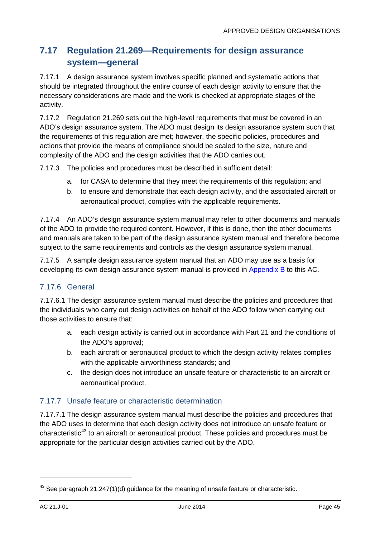## <span id="page-45-0"></span>**7.17 Regulation 21.269—Requirements for design assurance system—general**

7.17.1 A design assurance system involves specific planned and systematic actions that should be integrated throughout the entire course of each design activity to ensure that the necessary considerations are made and the work is checked at appropriate stages of the activity.

7.17.2 Regulation 21.269 sets out the high-level requirements that must be covered in an ADO's design assurance system. The ADO must design its design assurance system such that the requirements of this regulation are met; however, the specific policies, procedures and actions that provide the means of compliance should be scaled to the size, nature and complexity of the ADO and the design activities that the ADO carries out.

7.17.3 The policies and procedures must be described in sufficient detail:

- a. for CASA to determine that they meet the requirements of this regulation; and
- b. to ensure and demonstrate that each design activity, and the associated aircraft or aeronautical product, complies with the applicable requirements.

7.17.4 An ADO's design assurance system manual may refer to other documents and manuals of the ADO to provide the required content. However, if this is done, then the other documents and manuals are taken to be part of the design assurance system manual and therefore become subject to the same requirements and controls as the design assurance system manual.

7.17.5 A sample design assurance system manual that an ADO may use as a basis for developing its own design assurance system manual is provided in [Appendix B](#page-60-1) to this AC.

#### 7.17.6 General

7.17.6.1 The design assurance system manual must describe the policies and procedures that the individuals who carry out design activities on behalf of the ADO follow when carrying out those activities to ensure that:

- a. each design activity is carried out in accordance with Part 21 and the conditions of the ADO's approval;
- b. each aircraft or aeronautical product to which the design activity relates complies with the applicable airworthiness standards; and
- c. the design does not introduce an unsafe feature or characteristic to an aircraft or aeronautical product.

#### 7.17.7 Unsafe feature or characteristic determination

7.17.7.1 The design assurance system manual must describe the policies and procedures that the ADO uses to determine that each design activity does not introduce an unsafe feature or characteristic<sup>[43](#page-45-1)</sup> to an aircraft or aeronautical product. These policies and procedures must be appropriate for the particular design activities carried out by the ADO.

<span id="page-45-1"></span><sup>&</sup>lt;sup>43</sup> See paragraph 21.247(1)(d) guidance for the meaning of unsafe feature or characteristic.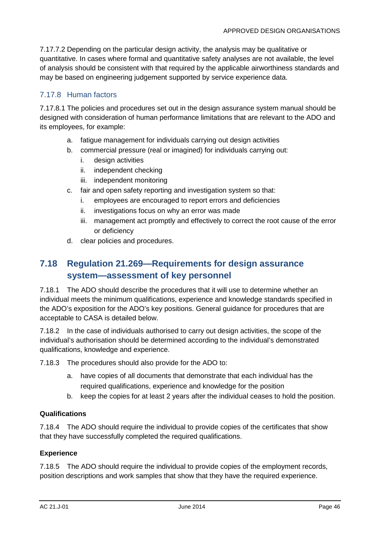7.17.7.2 Depending on the particular design activity, the analysis may be qualitative or quantitative. In cases where formal and quantitative safety analyses are not available, the level of analysis should be consistent with that required by the applicable airworthiness standards and may be based on engineering judgement supported by service experience data.

#### 7.17.8 Human factors

7.17.8.1 The policies and procedures set out in the design assurance system manual should be designed with consideration of human performance limitations that are relevant to the ADO and its employees, for example:

- a. fatigue management for individuals carrying out design activities
- b. commercial pressure (real or imagined) for individuals carrying out:
	- i. design activities
	- ii. independent checking
	- iii. independent monitoring
- c. fair and open safety reporting and investigation system so that:
	- i. employees are encouraged to report errors and deficiencies
	- ii. investigations focus on why an error was made
	- iii. management act promptly and effectively to correct the root cause of the error or deficiency
- d. clear policies and procedures.

## <span id="page-46-0"></span>**7.18 Regulation 21.269—Requirements for design assurance system—assessment of key personnel**

7.18.1 The ADO should describe the procedures that it will use to determine whether an individual meets the minimum qualifications, experience and knowledge standards specified in the ADO's exposition for the ADO's key positions. General guidance for procedures that are acceptable to CASA is detailed below.

7.18.2 In the case of individuals authorised to carry out design activities, the scope of the individual's authorisation should be determined according to the individual's demonstrated qualifications, knowledge and experience.

7.18.3 The procedures should also provide for the ADO to:

- a. have copies of all documents that demonstrate that each individual has the required qualifications, experience and knowledge for the position
- b. keep the copies for at least 2 years after the individual ceases to hold the position.

#### **Qualifications**

7.18.4 The ADO should require the individual to provide copies of the certificates that show that they have successfully completed the required qualifications.

#### **Experience**

7.18.5 The ADO should require the individual to provide copies of the employment records, position descriptions and work samples that show that they have the required experience.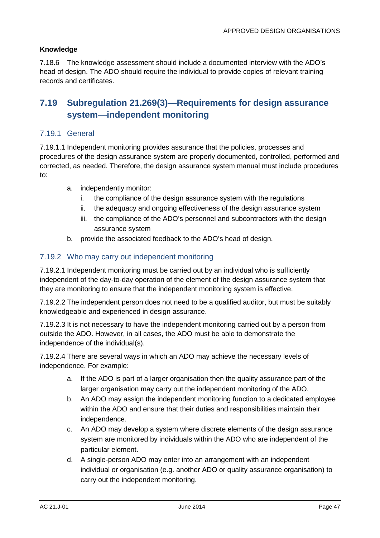#### **Knowledge**

7.18.6 The knowledge assessment should include a documented interview with the ADO's head of design. The ADO should require the individual to provide copies of relevant training records and certificates.

## <span id="page-47-0"></span>**7.19 Subregulation 21.269(3)—Requirements for design assurance system—independent monitoring**

#### 7.19.1 General

7.19.1.1 Independent monitoring provides assurance that the policies, processes and procedures of the design assurance system are properly documented, controlled, performed and corrected, as needed. Therefore, the design assurance system manual must include procedures to:

- a. independently monitor:
	- i. the compliance of the design assurance system with the regulations
	- ii. the adequacy and ongoing effectiveness of the design assurance system
	- iii. the compliance of the ADO's personnel and subcontractors with the design assurance system
- b. provide the associated feedback to the ADO's head of design.

#### 7.19.2 Who may carry out independent monitoring

7.19.2.1 Independent monitoring must be carried out by an individual who is sufficiently independent of the day-to-day operation of the element of the design assurance system that they are monitoring to ensure that the independent monitoring system is effective.

7.19.2.2 The independent person does not need to be a qualified auditor, but must be suitably knowledgeable and experienced in design assurance.

7.19.2.3 It is not necessary to have the independent monitoring carried out by a person from outside the ADO. However, in all cases, the ADO must be able to demonstrate the independence of the individual(s).

7.19.2.4 There are several ways in which an ADO may achieve the necessary levels of independence. For example:

- a. If the ADO is part of a larger organisation then the quality assurance part of the larger organisation may carry out the independent monitoring of the ADO.
- b. An ADO may assign the independent monitoring function to a dedicated employee within the ADO and ensure that their duties and responsibilities maintain their independence.
- c. An ADO may develop a system where discrete elements of the design assurance system are monitored by individuals within the ADO who are independent of the particular element.
- d. A single-person ADO may enter into an arrangement with an independent individual or organisation (e.g. another ADO or quality assurance organisation) to carry out the independent monitoring.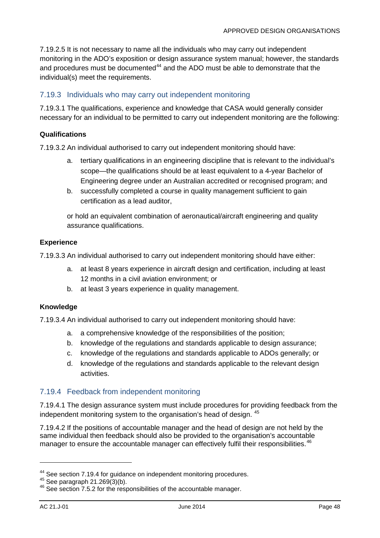7.19.2.5 It is not necessary to name all the individuals who may carry out independent monitoring in the ADO's exposition or design assurance system manual; however, the standards and procedures must be documented<sup>[44](#page-48-2)</sup> and the ADO must be able to demonstrate that the individual(s) meet the requirements.

#### <span id="page-48-0"></span>7.19.3 Individuals who may carry out independent monitoring

7.19.3.1 The qualifications, experience and knowledge that CASA would generally consider necessary for an individual to be permitted to carry out independent monitoring are the following:

#### **Qualifications**

7.19.3.2 An individual authorised to carry out independent monitoring should have:

- a. tertiary qualifications in an engineering discipline that is relevant to the individual's scope—the qualifications should be at least equivalent to a 4-year Bachelor of Engineering degree under an Australian accredited or recognised program; and
- b. successfully completed a course in quality management sufficient to gain certification as a lead auditor,

or hold an equivalent combination of aeronautical/aircraft engineering and quality assurance qualifications.

#### **Experience**

7.19.3.3 An individual authorised to carry out independent monitoring should have either:

- a. at least 8 years experience in aircraft design and certification, including at least 12 months in a civil aviation environment; or
- b. at least 3 years experience in quality management.

#### **Knowledge**

7.19.3.4 An individual authorised to carry out independent monitoring should have:

- a. a comprehensive knowledge of the responsibilities of the position;
- b. knowledge of the regulations and standards applicable to design assurance;
- c. knowledge of the regulations and standards applicable to ADOs generally; or
- d. knowledge of the regulations and standards applicable to the relevant design activities.

#### <span id="page-48-1"></span>7.19.4 Feedback from independent monitoring

7.19.4.1 The design assurance system must include procedures for providing feedback from the independent monitoring system to the organisation's head of design. [45](#page-48-3)

7.19.4.2 If the positions of accountable manager and the head of design are not held by the same individual then feedback should also be provided to the organisation's accountable manager to ensure the accountable manager can effectively fulfil their responsibilities.<sup>[46](#page-48-4)</sup>

<span id="page-48-2"></span><sup>&</sup>lt;sup>44</sup> See section [7.19.4](#page-48-1) for guidance on independent monitoring procedures.<br><sup>45</sup> See paragraph 21.269(3)(b).<br><sup>46</sup> See section [7.5.2](#page-26-4) for the responsibilities of the accountable manager.

<span id="page-48-3"></span>

<span id="page-48-4"></span>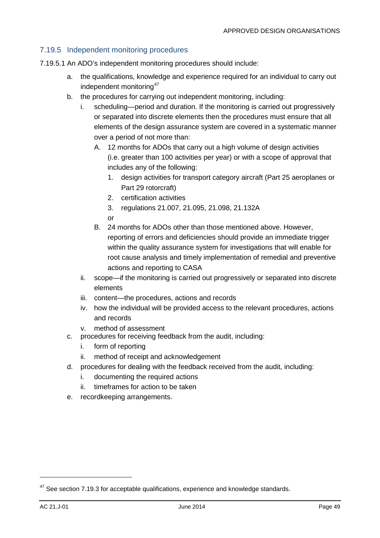#### 7.19.5 Independent monitoring procedures

- 7.19.5.1 An ADO's independent monitoring procedures should include:
	- a. the qualifications, knowledge and experience required for an individual to carry out independent monitoring<sup>[47](#page-49-0)</sup>
	- b. the procedures for carrying out independent monitoring, including:
		- i. scheduling—period and duration. If the monitoring is carried out progressively or separated into discrete elements then the procedures must ensure that all elements of the design assurance system are covered in a systematic manner over a period of not more than:
			- A. 12 months for ADOs that carry out a high volume of design activities (i.e. greater than 100 activities per year) or with a scope of approval that includes any of the following:
				- 1. design activities for transport category aircraft (Part 25 aeroplanes or Part 29 rotorcraft)
				- 2. certification activities
				- 3. regulations 21.007, 21.095, 21.098, 21.132A
				- $\alpha$ r
			- B. 24 months for ADOs other than those mentioned above. However, reporting of errors and deficiencies should provide an immediate trigger within the quality assurance system for investigations that will enable for root cause analysis and timely implementation of remedial and preventive actions and reporting to CASA
		- ii. scope—if the monitoring is carried out progressively or separated into discrete elements
		- iii. content—the procedures, actions and records
		- iv. how the individual will be provided access to the relevant procedures, actions and records
		- v. method of assessment
	- c. procedures for receiving feedback from the audit, including:
		- i. form of reporting
		- ii. method of receipt and acknowledgement
	- d. procedures for dealing with the feedback received from the audit, including:
		- i. documenting the required actions
		- ii. timeframes for action to be taken
	- e. recordkeeping arrangements.

<span id="page-49-0"></span> $47$  See section [7.19.3](#page-48-0) for acceptable qualifications, experience and knowledge standards.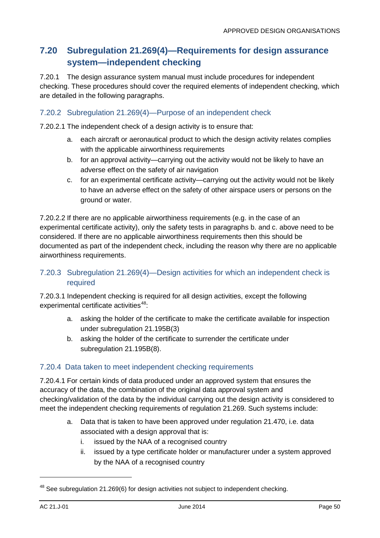## <span id="page-50-0"></span>**7.20 Subregulation 21.269(4)—Requirements for design assurance system—independent checking**

7.20.1 The design assurance system manual must include procedures for independent checking. These procedures should cover the required elements of independent checking, which are detailed in the following paragraphs.

#### 7.20.2 Subregulation 21.269(4)—Purpose of an independent check

7.20.2.1 The independent check of a design activity is to ensure that:

- a. each aircraft or aeronautical product to which the design activity relates complies with the applicable airworthiness requirements
- <span id="page-50-1"></span>b. for an approval activity—carrying out the activity would not be likely to have an adverse effect on the safety of air navigation
- <span id="page-50-2"></span>c. for an experimental certificate activity—carrying out the activity would not be likely to have an adverse effect on the safety of other airspace users or persons on the ground or water.

7.20.2.2 If there are no applicable airworthiness requirements (e.g. in the case of an experimental certificate activity), only the safety tests in paragraphs [b.](#page-50-1) and [c.](#page-50-2) above need to be considered. If there are no applicable airworthiness requirements then this should be documented as part of the independent check, including the reason why there are no applicable airworthiness requirements.

#### 7.20.3 Subregulation 21.269(4)—Design activities for which an independent check is required

7.20.3.1 Independent checking is required for all design activities, except the following experimental certificate activities $48$ :

- a. asking the holder of the certificate to make the certificate available for inspection under subregulation 21.195B(3)
- b. asking the holder of the certificate to surrender the certificate under subregulation 21.195B(8).

#### 7.20.4 Data taken to meet independent checking requirements

7.20.4.1 For certain kinds of data produced under an approved system that ensures the accuracy of the data, the combination of the original data approval system and checking/validation of the data by the individual carrying out the design activity is considered to meet the independent checking requirements of regulation 21.269. Such systems include:

- a. Data that is taken to have been approved under regulation 21.470, i.e. data associated with a design approval that is:
	- i. issued by the NAA of a recognised country
	- ii. issued by a type certificate holder or manufacturer under a system approved by the NAA of a recognised country

<span id="page-50-3"></span> $48$  See subregulation 21.269(6) for design activities not subject to independent checking.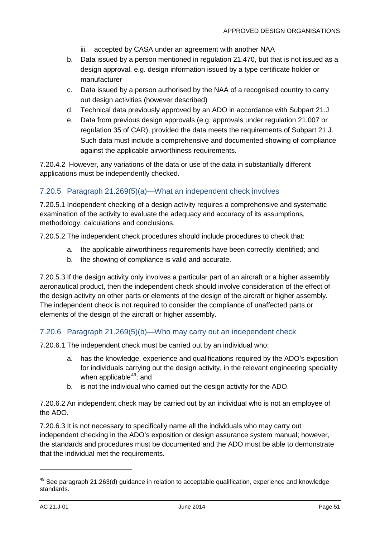- iii. accepted by CASA under an agreement with another NAA
- b. Data issued by a person mentioned in regulation 21.470, but that is not issued as a design approval, e.g. design information issued by a type certificate holder or manufacturer
- c. Data issued by a person authorised by the NAA of a recognised country to carry out design activities (however described)
- d. Technical data previously approved by an ADO in accordance with Subpart 21.J
- e. Data from previous design approvals (e.g. approvals under regulation 21.007 or regulation 35 of CAR), provided the data meets the requirements of Subpart 21.J. Such data must include a comprehensive and documented showing of compliance against the applicable airworthiness requirements.

7.20.4.2 However, any variations of the data or use of the data in substantially different applications must be independently checked.

#### 7.20.5 Paragraph 21.269(5)(a)—What an independent check involves

7.20.5.1 Independent checking of a design activity requires a comprehensive and systematic examination of the activity to evaluate the adequacy and accuracy of its assumptions, methodology, calculations and conclusions.

7.20.5.2 The independent check procedures should include procedures to check that:

- a. the applicable airworthiness requirements have been correctly identified; and
- b. the showing of compliance is valid and accurate.

7.20.5.3 If the design activity only involves a particular part of an aircraft or a higher assembly aeronautical product, then the independent check should involve consideration of the effect of the design activity on other parts or elements of the design of the aircraft or higher assembly. The independent check is not required to consider the compliance of unaffected parts or elements of the design of the aircraft or higher assembly.

#### 7.20.6 Paragraph 21.269(5)(b)—Who may carry out an independent check

7.20.6.1 The independent check must be carried out by an individual who:

- a. has the knowledge, experience and qualifications required by the ADO's exposition for individuals carrying out the design activity, in the relevant engineering speciality when applicable $49$ ; and
- b. is not the individual who carried out the design activity for the ADO.

7.20.6.2 An independent check may be carried out by an individual who is not an employee of the ADO.

7.20.6.3 It is not necessary to specifically name all the individuals who may carry out independent checking in the ADO's exposition or design assurance system manual; however, the standards and procedures must be documented and the ADO must be able to demonstrate that the individual met the requirements.

<span id="page-51-0"></span><sup>&</sup>lt;sup>49</sup> See paragraph 21.263(d) guidance in relation to acceptable qualification, experience and knowledge standards.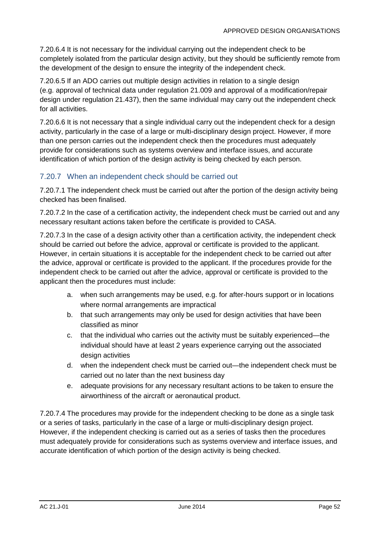7.20.6.4 It is not necessary for the individual carrying out the independent check to be completely isolated from the particular design activity, but they should be sufficiently remote from the development of the design to ensure the integrity of the independent check.

7.20.6.5 If an ADO carries out multiple design activities in relation to a single design (e.g. approval of technical data under regulation 21.009 and approval of a modification/repair design under regulation 21.437), then the same individual may carry out the independent check for all activities.

7.20.6.6 It is not necessary that a single individual carry out the independent check for a design activity, particularly in the case of a large or multi-disciplinary design project. However, if more than one person carries out the independent check then the procedures must adequately provide for considerations such as systems overview and interface issues, and accurate identification of which portion of the design activity is being checked by each person.

#### 7.20.7 When an independent check should be carried out

7.20.7.1 The independent check must be carried out after the portion of the design activity being checked has been finalised.

7.20.7.2 In the case of a certification activity, the independent check must be carried out and any necessary resultant actions taken before the certificate is provided to CASA.

7.20.7.3 In the case of a design activity other than a certification activity, the independent check should be carried out before the advice, approval or certificate is provided to the applicant. However, in certain situations it is acceptable for the independent check to be carried out after the advice, approval or certificate is provided to the applicant. If the procedures provide for the independent check to be carried out after the advice, approval or certificate is provided to the applicant then the procedures must include:

- a. when such arrangements may be used, e.g. for after-hours support or in locations where normal arrangements are impractical
- b. that such arrangements may only be used for design activities that have been classified as minor
- c. that the individual who carries out the activity must be suitably experienced—the individual should have at least 2 years experience carrying out the associated design activities
- d. when the independent check must be carried out—the independent check must be carried out no later than the next business day
- e. adequate provisions for any necessary resultant actions to be taken to ensure the airworthiness of the aircraft or aeronautical product.

7.20.7.4 The procedures may provide for the independent checking to be done as a single task or a series of tasks, particularly in the case of a large or multi-disciplinary design project. However, if the independent checking is carried out as a series of tasks then the procedures must adequately provide for considerations such as systems overview and interface issues, and accurate identification of which portion of the design activity is being checked.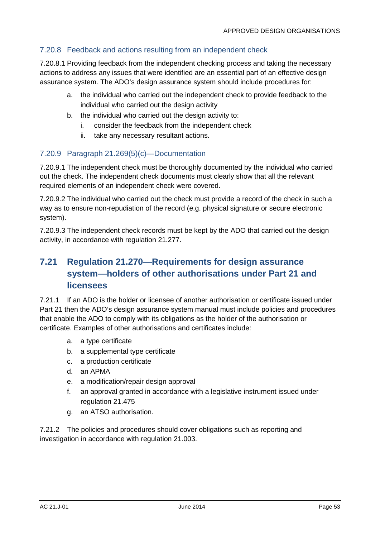#### 7.20.8 Feedback and actions resulting from an independent check

7.20.8.1 Providing feedback from the independent checking process and taking the necessary actions to address any issues that were identified are an essential part of an effective design assurance system. The ADO's design assurance system should include procedures for:

- a. the individual who carried out the independent check to provide feedback to the individual who carried out the design activity
- b. the individual who carried out the design activity to:
	- i. consider the feedback from the independent check
	- ii. take any necessary resultant actions.

#### 7.20.9 Paragraph 21.269(5)(c)—Documentation

7.20.9.1 The independent check must be thoroughly documented by the individual who carried out the check. The independent check documents must clearly show that all the relevant required elements of an independent check were covered.

7.20.9.2 The individual who carried out the check must provide a record of the check in such a way as to ensure non-repudiation of the record (e.g. physical signature or secure electronic system).

7.20.9.3 The independent check records must be kept by the ADO that carried out the design activity, in accordance with regulation 21.277.

## <span id="page-53-0"></span>**7.21 Regulation 21.270—Requirements for design assurance system—holders of other authorisations under Part 21 and licensees**

7.21.1 If an ADO is the holder or licensee of another authorisation or certificate issued under Part 21 then the ADO's design assurance system manual must include policies and procedures that enable the ADO to comply with its obligations as the holder of the authorisation or certificate. Examples of other authorisations and certificates include:

- a. a type certificate
- b. a supplemental type certificate
- c. a production certificate
- d. an APMA
- e. a modification/repair design approval
- f. an approval granted in accordance with a legislative instrument issued under regulation 21.475
- g. an ATSO authorisation.

7.21.2 The policies and procedures should cover obligations such as reporting and investigation in accordance with regulation 21.003.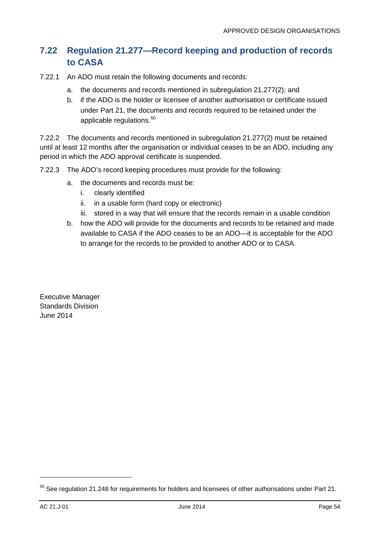## <span id="page-54-0"></span>**7.22 Regulation 21.277—Record keeping and production of records to CASA**

- 7.22.1 An ADO must retain the following documents and records:
	- a. the documents and records mentioned in subregulation 21.277(2); and
	- b. if the ADO is the holder or licensee of another authorisation or certificate issued under Part 21, the documents and records required to be retained under the applicable regulations.<sup>[50](#page-54-1)</sup>

7.22.2 The documents and records mentioned in subregulation 21.277(2) must be retained until at least 12 months after the organisation or individual ceases to be an ADO, including any period in which the ADO approval certificate is suspended.

7.22.3 The ADO's record keeping procedures must provide for the following:

- a. the documents and records must be:
	- i. clearly identified
	- ii. in a usable form (hard copy or electronic)
	- iii. stored in a way that will ensure that the records remain in a usable condition
- b. how the ADO will provide for the documents and records to be retained and made available to CASA if the ADO ceases to be an ADO—it is acceptable for the ADO to arrange for the records to be provided to another ADO or to CASA.

Executive Manager Standards Division June 2014

<span id="page-54-1"></span> $50$  See regulation 21.248 for requirements for holders and licensees of other authorisations under Part 21.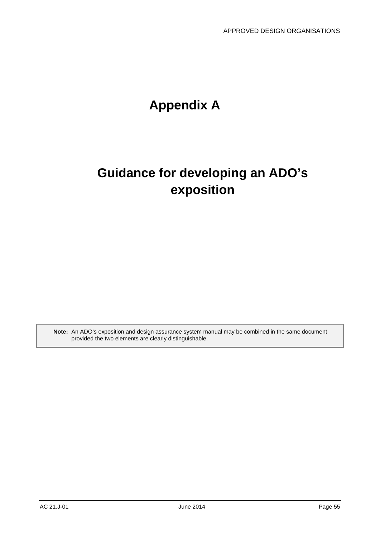# **Appendix A**

# <span id="page-55-1"></span><span id="page-55-0"></span>**Guidance for developing an ADO's exposition**

**Note:** An ADO's exposition and design assurance system manual may be combined in the same document provided the two elements are clearly distinguishable.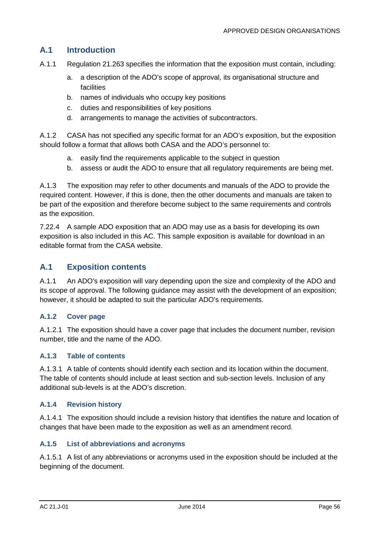### **A.1 Introduction**

- A.1.1 Regulation 21.263 specifies the information that the exposition must contain, including:
	- a. a description of the ADO's scope of approval, its organisational structure and facilities
	- b. names of individuals who occupy key positions
	- c. duties and responsibilities of key positions
	- d. arrangements to manage the activities of subcontractors.

A.1.2 CASA has not specified any specific format for an ADO's exposition, but the exposition should follow a format that allows both CASA and the ADO's personnel to:

- a. easily find the requirements applicable to the subject in question
- b. assess or audit the ADO to ensure that all regulatory requirements are being met.

A.1.3 The exposition may refer to other documents and manuals of the ADO to provide the required content. However, if this is done, then the other documents and manuals are taken to be part of the exposition and therefore become subject to the same requirements and controls as the exposition.

7.22.4 A sample ADO exposition that an ADO may use as a basis for developing its own exposition is also included in this AC. This sample exposition is available for download in an editable format from the CASA website.

#### **A.1 Exposition contents**

A.1.1 An ADO's exposition will vary depending upon the size and complexity of the ADO and its scope of approval. The following guidance may assist with the development of an exposition; however, it should be adapted to suit the particular ADO's requirements.

#### **A.1.2 Cover page**

A.1.2.1 The exposition should have a cover page that includes the document number, revision number, title and the name of the ADO.

#### **A.1.3 Table of contents**

A.1.3.1 A table of contents should identify each section and its location within the document. The table of contents should include at least section and sub-section levels. Inclusion of any additional sub-levels is at the ADO's discretion.

#### **A.1.4 Revision history**

A.1.4.1 The exposition should include a revision history that identifies the nature and location of changes that have been made to the exposition as well as an amendment record.

#### **A.1.5 List of abbreviations and acronyms**

A.1.5.1 A list of any abbreviations or acronyms used in the exposition should be included at the beginning of the document.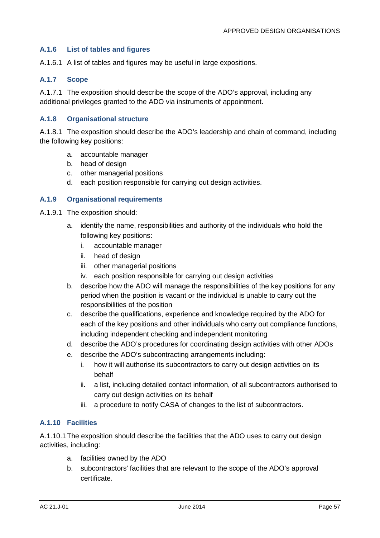#### **A.1.6 List of tables and figures**

A.1.6.1 A list of tables and figures may be useful in large expositions.

#### **A.1.7 Scope**

A.1.7.1 The exposition should describe the scope of the ADO's approval, including any additional privileges granted to the ADO via instruments of appointment.

#### **A.1.8 Organisational structure**

A.1.8.1 The exposition should describe the ADO's leadership and chain of command, including the following key positions:

- a. accountable manager
- b. head of design
- c. other managerial positions
- d. each position responsible for carrying out design activities.

#### **A.1.9 Organisational requirements**

- A.1.9.1 The exposition should:
	- a. identify the name, responsibilities and authority of the individuals who hold the following key positions:
		- i. accountable manager
		- ii. head of design
		- iii. other managerial positions
		- iv. each position responsible for carrying out design activities
	- b. describe how the ADO will manage the responsibilities of the key positions for any period when the position is vacant or the individual is unable to carry out the responsibilities of the position
	- c. describe the qualifications, experience and knowledge required by the ADO for each of the key positions and other individuals who carry out compliance functions, including independent checking and independent monitoring
	- d. describe the ADO's procedures for coordinating design activities with other ADOs
	- e. describe the ADO's subcontracting arrangements including:
		- i. how it will authorise its subcontractors to carry out design activities on its behalf
		- ii. a list, including detailed contact information, of all subcontractors authorised to carry out design activities on its behalf
		- iii. a procedure to notify CASA of changes to the list of subcontractors.

#### **A.1.10 Facilities**

A.1.10.1The exposition should describe the facilities that the ADO uses to carry out design activities, including:

- a. facilities owned by the ADO
- b. subcontractors' facilities that are relevant to the scope of the ADO's approval certificate.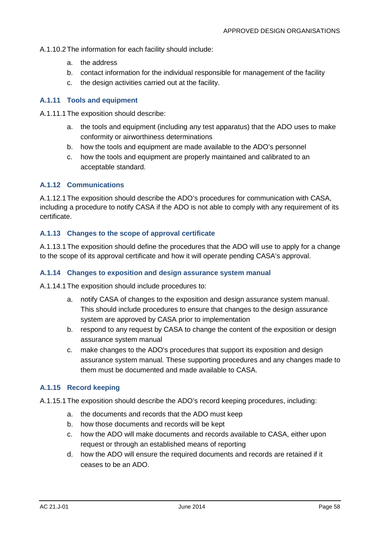A.1.10.2The information for each facility should include:

- a. the address
- b. contact information for the individual responsible for management of the facility
- c. the design activities carried out at the facility.

#### **A.1.11 Tools and equipment**

A.1.11.1The exposition should describe:

- a. the tools and equipment (including any test apparatus) that the ADO uses to make conformity or airworthiness determinations
- b. how the tools and equipment are made available to the ADO's personnel
- c. how the tools and equipment are properly maintained and calibrated to an acceptable standard.

#### **A.1.12 Communications**

A.1.12.1The exposition should describe the ADO's procedures for communication with CASA, including a procedure to notify CASA if the ADO is not able to comply with any requirement of its certificate.

#### **A.1.13 Changes to the scope of approval certificate**

A.1.13.1The exposition should define the procedures that the ADO will use to apply for a change to the scope of its approval certificate and how it will operate pending CASA's approval.

#### **A.1.14 Changes to exposition and design assurance system manual**

A.1.14.1The exposition should include procedures to:

- a. notify CASA of changes to the exposition and design assurance system manual. This should include procedures to ensure that changes to the design assurance system are approved by CASA prior to implementation
- b. respond to any request by CASA to change the content of the exposition or design assurance system manual
- c. make changes to the ADO's procedures that support its exposition and design assurance system manual. These supporting procedures and any changes made to them must be documented and made available to CASA.

#### **A.1.15 Record keeping**

A.1.15.1The exposition should describe the ADO's record keeping procedures, including:

- a. the documents and records that the ADO must keep
- b. how those documents and records will be kept
- c. how the ADO will make documents and records available to CASA, either upon request or through an established means of reporting
- d. how the ADO will ensure the required documents and records are retained if it ceases to be an ADO.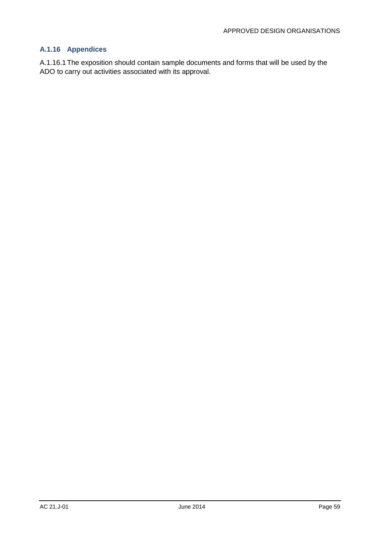#### **A.1.16 Appendices**

A.1.16.1The exposition should contain sample documents and forms that will be used by the ADO to carry out activities associated with its approval.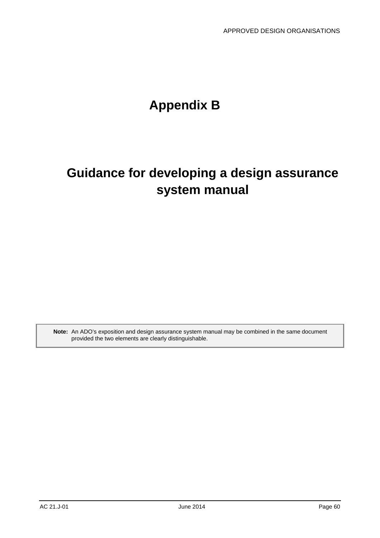# **Appendix B**

# <span id="page-60-1"></span><span id="page-60-0"></span>**Guidance for developing a design assurance system manual**

**Note:** An ADO's exposition and design assurance system manual may be combined in the same document provided the two elements are clearly distinguishable.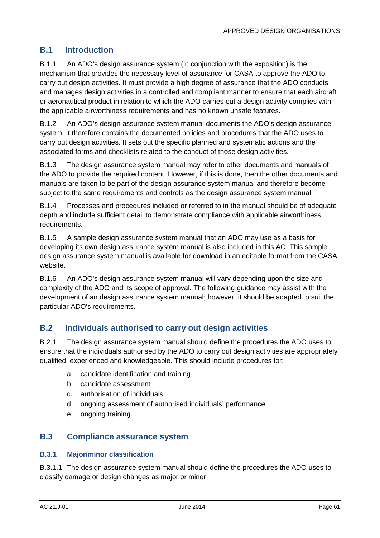## **B.1 Introduction**

B.1.1 An ADO's design assurance system (in conjunction with the exposition) is the mechanism that provides the necessary level of assurance for CASA to approve the ADO to carry out design activities. It must provide a high degree of assurance that the ADO conducts and manages design activities in a controlled and compliant manner to ensure that each aircraft or aeronautical product in relation to which the ADO carries out a design activity complies with the applicable airworthiness requirements and has no known unsafe features.

B.1.2 An ADO's design assurance system manual documents the ADO's design assurance system. It therefore contains the documented policies and procedures that the ADO uses to carry out design activities. It sets out the specific planned and systematic actions and the associated forms and checklists related to the conduct of those design activities.

B.1.3 The design assurance system manual may refer to other documents and manuals of the ADO to provide the required content. However, if this is done, then the other documents and manuals are taken to be part of the design assurance system manual and therefore become subject to the same requirements and controls as the design assurance system manual.

B.1.4 Processes and procedures included or referred to in the manual should be of adequate depth and include sufficient detail to demonstrate compliance with applicable airworthiness requirements.

B.1.5 A sample design assurance system manual that an ADO may use as a basis for developing its own design assurance system manual is also included in this AC. This sample design assurance system manual is available for download in an editable format from the CASA website.

B.1.6 An ADO's design assurance system manual will vary depending upon the size and complexity of the ADO and its scope of approval. The following guidance may assist with the development of an design assurance system manual; however, it should be adapted to suit the particular ADO's requirements.

## **B.2 Individuals authorised to carry out design activities**

B.2.1 The design assurance system manual should define the procedures the ADO uses to ensure that the individuals authorised by the ADO to carry out design activities are appropriately qualified, experienced and knowledgeable. This should include procedures for:

- a. candidate identification and training
- b. candidate assessment
- c. authorisation of individuals
- d. ongoing assessment of authorised individuals' performance
- e. ongoing training.

#### **B.3 Compliance assurance system**

#### **B.3.1 Major/minor classification**

B.3.1.1 The design assurance system manual should define the procedures the ADO uses to classify damage or design changes as major or minor.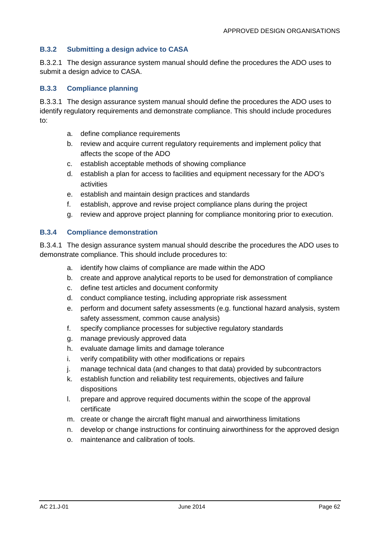#### **B.3.2 Submitting a design advice to CASA**

B.3.2.1 The design assurance system manual should define the procedures the ADO uses to submit a design advice to CASA.

#### **B.3.3 Compliance planning**

B.3.3.1 The design assurance system manual should define the procedures the ADO uses to identify regulatory requirements and demonstrate compliance. This should include procedures to:

- a. define compliance requirements
- b. review and acquire current regulatory requirements and implement policy that affects the scope of the ADO
- c. establish acceptable methods of showing compliance
- d. establish a plan for access to facilities and equipment necessary for the ADO's activities
- e. establish and maintain design practices and standards
- f. establish, approve and revise project compliance plans during the project
- g. review and approve project planning for compliance monitoring prior to execution.

#### **B.3.4 Compliance demonstration**

B.3.4.1 The design assurance system manual should describe the procedures the ADO uses to demonstrate compliance. This should include procedures to:

- a. identify how claims of compliance are made within the ADO
- b. create and approve analytical reports to be used for demonstration of compliance
- c. define test articles and document conformity
- d. conduct compliance testing, including appropriate risk assessment
- e. perform and document safety assessments (e.g. functional hazard analysis, system safety assessment, common cause analysis)
- f. specify compliance processes for subjective regulatory standards
- g. manage previously approved data
- h. evaluate damage limits and damage tolerance
- i. verify compatibility with other modifications or repairs
- j. manage technical data (and changes to that data) provided by subcontractors
- k. establish function and reliability test requirements, objectives and failure dispositions
- l. prepare and approve required documents within the scope of the approval certificate
- m. create or change the aircraft flight manual and airworthiness limitations
- n. develop or change instructions for continuing airworthiness for the approved design
- o. maintenance and calibration of tools.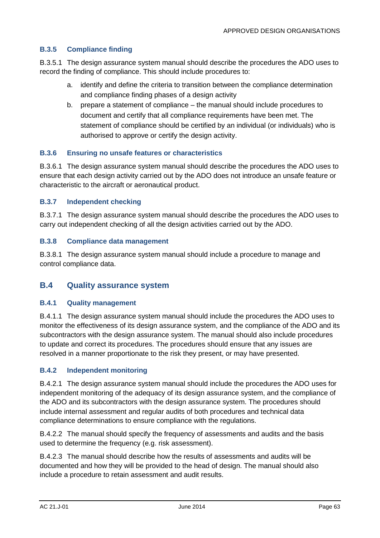#### **B.3.5 Compliance finding**

B.3.5.1 The design assurance system manual should describe the procedures the ADO uses to record the finding of compliance. This should include procedures to:

- a. identify and define the criteria to transition between the compliance determination and compliance finding phases of a design activity
- b. prepare a statement of compliance the manual should include procedures to document and certify that all compliance requirements have been met. The statement of compliance should be certified by an individual (or individuals) who is authorised to approve or certify the design activity.

#### **B.3.6 Ensuring no unsafe features or characteristics**

B.3.6.1 The design assurance system manual should describe the procedures the ADO uses to ensure that each design activity carried out by the ADO does not introduce an unsafe feature or characteristic to the aircraft or aeronautical product.

#### **B.3.7 Independent checking**

B.3.7.1 The design assurance system manual should describe the procedures the ADO uses to carry out independent checking of all the design activities carried out by the ADO.

#### **B.3.8 Compliance data management**

B.3.8.1 The design assurance system manual should include a procedure to manage and control compliance data.

#### **B.4 Quality assurance system**

#### **B.4.1 Quality management**

B.4.1.1 The design assurance system manual should include the procedures the ADO uses to monitor the effectiveness of its design assurance system, and the compliance of the ADO and its subcontractors with the design assurance system. The manual should also include procedures to update and correct its procedures. The procedures should ensure that any issues are resolved in a manner proportionate to the risk they present, or may have presented.

#### **B.4.2 Independent monitoring**

B.4.2.1 The design assurance system manual should include the procedures the ADO uses for independent monitoring of the adequacy of its design assurance system, and the compliance of the ADO and its subcontractors with the design assurance system. The procedures should include internal assessment and regular audits of both procedures and technical data compliance determinations to ensure compliance with the regulations.

B.4.2.2 The manual should specify the frequency of assessments and audits and the basis used to determine the frequency (e.g. risk assessment).

B.4.2.3 The manual should describe how the results of assessments and audits will be documented and how they will be provided to the head of design. The manual should also include a procedure to retain assessment and audit results.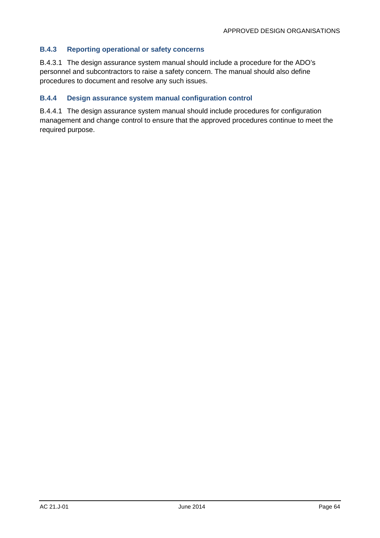#### **B.4.3 Reporting operational or safety concerns**

B.4.3.1 The design assurance system manual should include a procedure for the ADO's personnel and subcontractors to raise a safety concern. The manual should also define procedures to document and resolve any such issues.

#### **B.4.4 Design assurance system manual configuration control**

B.4.4.1 The design assurance system manual should include procedures for configuration management and change control to ensure that the approved procedures continue to meet the required purpose.